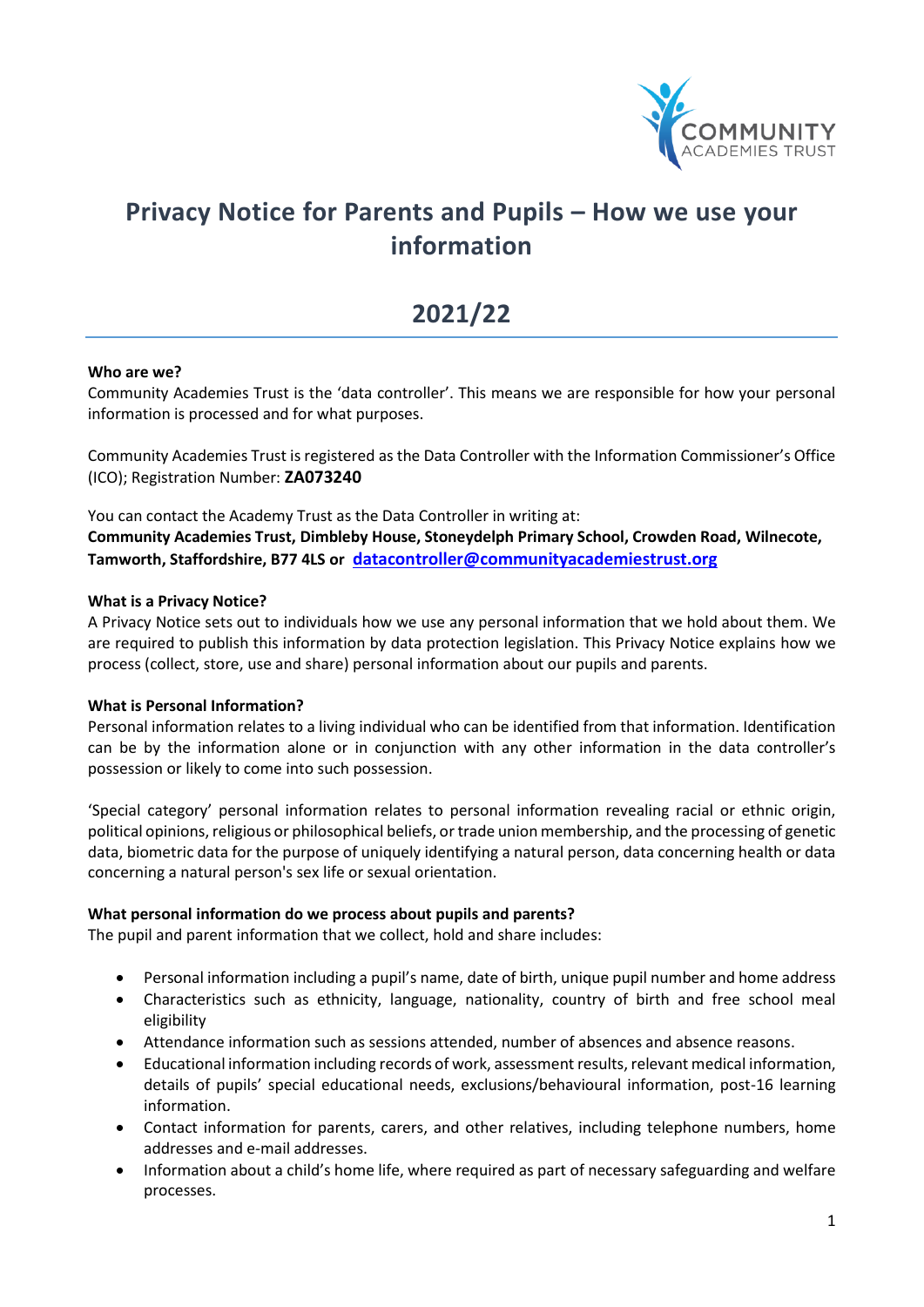

# **Privacy Notice for Parents and Pupils – How we use your information**

# **2021/22**

#### **Who are we?**

Community Academies Trust is the 'data controller'. This means we are responsible for how your personal information is processed and for what purposes.

Community Academies Trust is registered as the Data Controller with the Information Commissioner's Office (ICO); Registration Number: **ZA073240**

You can contact the Academy Trust as the Data Controller in writing at: **Community Academies Trust, Dimbleby House, Stoneydelph Primary School, Crowden Road, Wilnecote, Tamworth, Staffordshire, B77 4LS or [datacontroller@communityacademiestrust.org](mailto:enquiries@communityacademiestrust.org)**

#### **What is a Privacy Notice?**

A Privacy Notice sets out to individuals how we use any personal information that we hold about them. We are required to publish this information by data protection legislation. This Privacy Notice explains how we process (collect, store, use and share) personal information about our pupils and parents.

#### **What is Personal Information?**

Personal information relates to a living individual who can be identified from that information. Identification can be by the information alone or in conjunction with any other information in the data controller's possession or likely to come into such possession.

'Special category' personal information relates to personal information revealing racial or ethnic origin, political opinions, religious or philosophical beliefs, or trade union membership, and the processing of genetic data, biometric data for the purpose of uniquely identifying a natural person, data concerning health or data concerning a natural person's sex life or sexual orientation.

#### **What personal information do we process about pupils and parents?**

The pupil and parent information that we collect, hold and share includes:

- Personal information including a pupil's name, date of birth, unique pupil number and home address
- Characteristics such as ethnicity, language, nationality, country of birth and free school meal eligibility
- Attendance information such as sessions attended, number of absences and absence reasons.
- Educational information including records of work, assessment results, relevant medical information, details of pupils' special educational needs, exclusions/behavioural information, post-16 learning information.
- Contact information for parents, carers, and other relatives, including telephone numbers, home addresses and e-mail addresses.
- Information about a child's home life, where required as part of necessary safeguarding and welfare processes.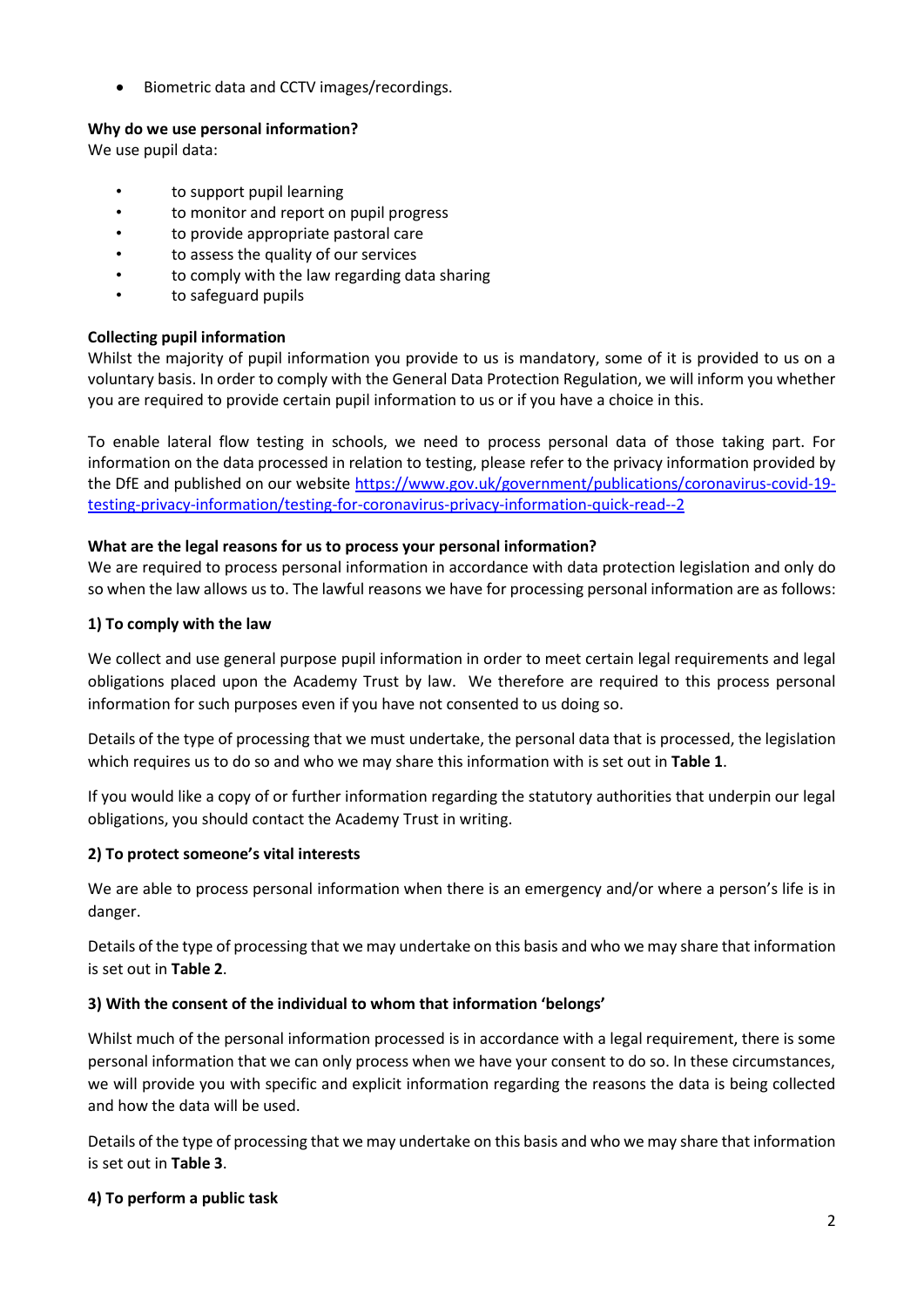• Biometric data and CCTV images/recordings.

# **Why do we use personal information?**

We use pupil data:

- to support pupil learning
- to monitor and report on pupil progress
- to provide appropriate pastoral care
- to assess the quality of our services
- to comply with the law regarding data sharing
- to safeguard pupils

# **Collecting pupil information**

Whilst the majority of pupil information you provide to us is mandatory, some of it is provided to us on a voluntary basis. In order to comply with the General Data Protection Regulation, we will inform you whether you are required to provide certain pupil information to us or if you have a choice in this.

To enable lateral flow testing in schools, we need to process personal data of those taking part. For information on the data processed in relation to testing, please refer to the privacy information provided by the DfE and published on our website [https://www.gov.uk/government/publications/coronavirus-covid-19](https://www.gov.uk/government/publications/coronavirus-covid-19-testing-privacy-information/testing-for-coronavirus-privacy-information-quick-read--2) [testing-privacy-information/testing-for-coronavirus-privacy-information-quick-read--2](https://www.gov.uk/government/publications/coronavirus-covid-19-testing-privacy-information/testing-for-coronavirus-privacy-information-quick-read--2)

## **What are the legal reasons for us to process your personal information?**

We are required to process personal information in accordance with data protection legislation and only do so when the law allows us to. The lawful reasons we have for processing personal information are as follows:

## **1) To comply with the law**

We collect and use general purpose pupil information in order to meet certain legal requirements and legal obligations placed upon the Academy Trust by law. We therefore are required to this process personal information for such purposes even if you have not consented to us doing so.

Details of the type of processing that we must undertake, the personal data that is processed, the legislation which requires us to do so and who we may share this information with is set out in **Table 1**.

If you would like a copy of or further information regarding the statutory authorities that underpin our legal obligations, you should contact the Academy Trust in writing.

# **2) To protect someone's vital interests**

We are able to process personal information when there is an emergency and/or where a person's life is in danger.

Details of the type of processing that we may undertake on this basis and who we may share that information is set out in **Table 2**.

## **3) With the consent of the individual to whom that information 'belongs'**

Whilst much of the personal information processed is in accordance with a legal requirement, there is some personal information that we can only process when we have your consent to do so. In these circumstances, we will provide you with specific and explicit information regarding the reasons the data is being collected and how the data will be used.

Details of the type of processing that we may undertake on this basis and who we may share that information is set out in **Table 3**.

## **4) To perform a public task**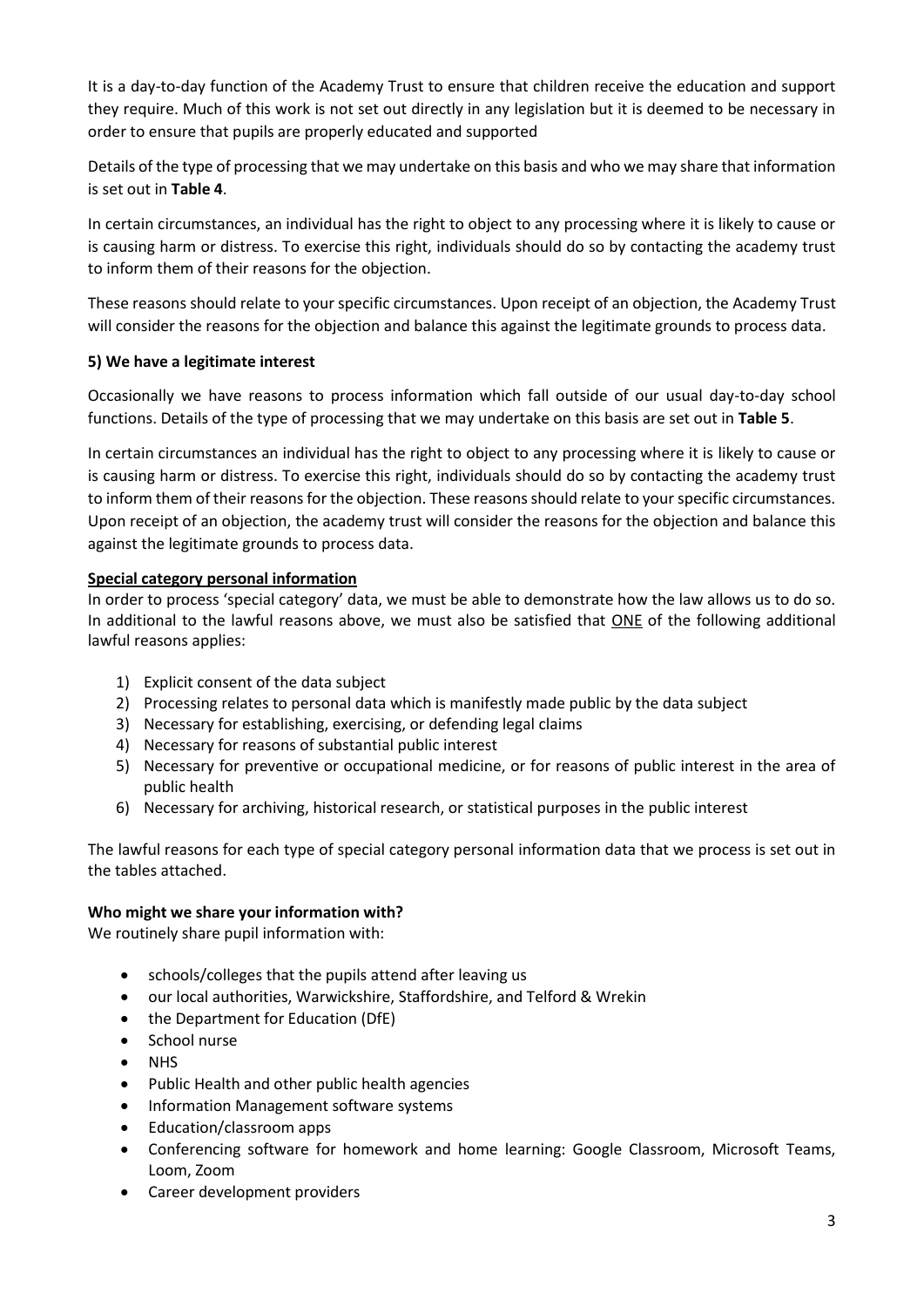It is a day-to-day function of the Academy Trust to ensure that children receive the education and support they require. Much of this work is not set out directly in any legislation but it is deemed to be necessary in order to ensure that pupils are properly educated and supported

Details of the type of processing that we may undertake on this basis and who we may share that information is set out in **Table 4**.

In certain circumstances, an individual has the right to object to any processing where it is likely to cause or is causing harm or distress. To exercise this right, individuals should do so by contacting the academy trust to inform them of their reasons for the objection.

These reasons should relate to your specific circumstances. Upon receipt of an objection, the Academy Trust will consider the reasons for the objection and balance this against the legitimate grounds to process data.

## **5) We have a legitimate interest**

Occasionally we have reasons to process information which fall outside of our usual day-to-day school functions. Details of the type of processing that we may undertake on this basis are set out in **Table 5**.

In certain circumstances an individual has the right to object to any processing where it is likely to cause or is causing harm or distress. To exercise this right, individuals should do so by contacting the academy trust to inform them of their reasons for the objection. These reasons should relate to your specific circumstances. Upon receipt of an objection, the academy trust will consider the reasons for the objection and balance this against the legitimate grounds to process data.

# **Special category personal information**

In order to process 'special category' data, we must be able to demonstrate how the law allows us to do so. In additional to the lawful reasons above, we must also be satisfied that ONE of the following additional lawful reasons applies:

- 1) Explicit consent of the data subject
- 2) Processing relates to personal data which is manifestly made public by the data subject
- 3) Necessary for establishing, exercising, or defending legal claims
- 4) Necessary for reasons of substantial public interest
- 5) Necessary for preventive or occupational medicine, or for reasons of public interest in the area of public health
- 6) Necessary for archiving, historical research, or statistical purposes in the public interest

The lawful reasons for each type of special category personal information data that we process is set out in the tables attached.

## **Who might we share your information with?**

We routinely share pupil information with:

- schools/colleges that the pupils attend after leaving us
- our local authorities, Warwickshire, Staffordshire, and Telford & Wrekin
- the Department for Education (DfE)
- School nurse
- **NHS**
- Public Health and other public health agencies
- Information Management software systems
- Education/classroom apps
- Conferencing software for homework and home learning: Google Classroom, Microsoft Teams, Loom, Zoom
- Career development providers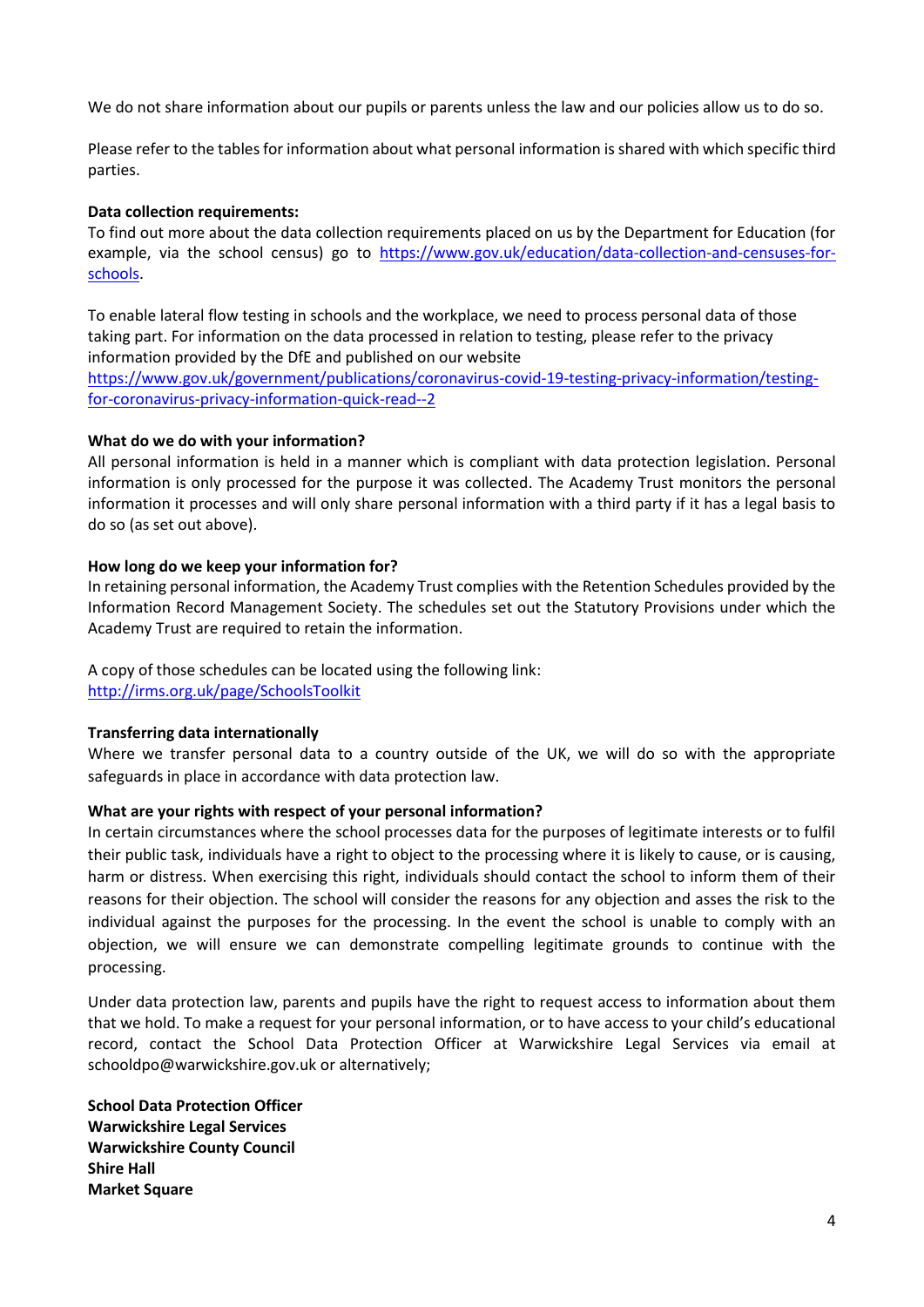We do not share information about our pupils or parents unless the law and our policies allow us to do so.

Please refer to the tables for information about what personal information is shared with which specific third parties.

#### **Data collection requirements:**

To find out more about the data collection requirements placed on us by the Department for Education (for example, via the school census) go to [https://www.gov.uk/education/data-collection-and-censuses-for](https://www.gov.uk/education/data-collection-and-censuses-for-schools)[schools.](https://www.gov.uk/education/data-collection-and-censuses-for-schools)

To enable lateral flow testing in schools and the workplace, we need to process personal data of those taking part. For information on the data processed in relation to testing, please refer to the privacy information provided by the DfE and published on our website

[https://www.gov.uk/government/publications/coronavirus-covid-19-testing-privacy-information/testing](https://www.gov.uk/government/publications/coronavirus-covid-19-testing-privacy-information/testing-for-coronavirus-privacy-information-quick-read--2)[for-coronavirus-privacy-information-quick-read--2](https://www.gov.uk/government/publications/coronavirus-covid-19-testing-privacy-information/testing-for-coronavirus-privacy-information-quick-read--2)

#### **What do we do with your information?**

All personal information is held in a manner which is compliant with data protection legislation. Personal information is only processed for the purpose it was collected. The Academy Trust monitors the personal information it processes and will only share personal information with a third party if it has a legal basis to do so (as set out above).

#### **How long do we keep your information for?**

In retaining personal information, the Academy Trust complies with the Retention Schedules provided by the Information Record Management Society. The schedules set out the Statutory Provisions under which the Academy Trust are required to retain the information.

A copy of those schedules can be located using the following link: <http://irms.org.uk/page/SchoolsToolkit>

## **Transferring data internationally**

Where we transfer personal data to a country outside of the UK, we will do so with the appropriate safeguards in place in accordance with data protection law.

#### **What are your rights with respect of your personal information?**

In certain circumstances where the school processes data for the purposes of legitimate interests or to fulfil their public task, individuals have a right to object to the processing where it is likely to cause, or is causing, harm or distress. When exercising this right, individuals should contact the school to inform them of their reasons for their objection. The school will consider the reasons for any objection and asses the risk to the individual against the purposes for the processing. In the event the school is unable to comply with an objection, we will ensure we can demonstrate compelling legitimate grounds to continue with the processing.

Under data protection law, parents and pupils have the right to request access to information about them that we hold. To make a request for your personal information, or to have access to your child's educational record, contact the School Data Protection Officer at Warwickshire Legal Services via email at [schooldpo@warwickshire.gov.uk](mailto:schooldpo@warwickshire.gov.uk) or alternatively;

**School Data Protection Officer Warwickshire Legal Services Warwickshire County Council Shire Hall Market Square**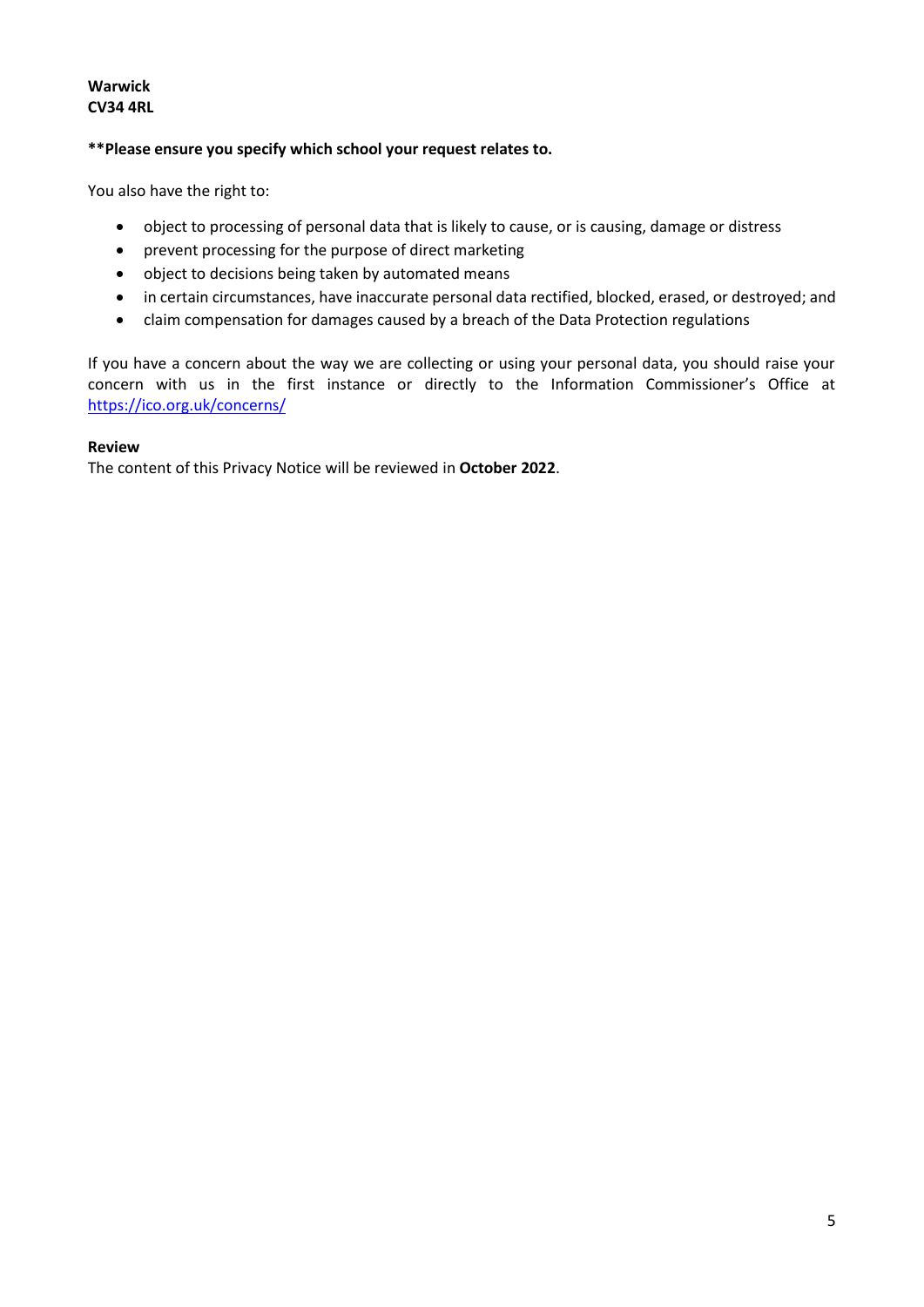## **Warwick CV34 4RL**

## **\*\*Please ensure you specify which school your request relates to.**

You also have the right to:

- object to processing of personal data that is likely to cause, or is causing, damage or distress
- prevent processing for the purpose of direct marketing
- object to decisions being taken by automated means
- in certain circumstances, have inaccurate personal data rectified, blocked, erased, or destroyed; and
- claim compensation for damages caused by a breach of the Data Protection regulations

If you have a concern about the way we are collecting or using your personal data, you should raise your concern with us in the first instance or directly to the Information Commissioner's Office at <https://ico.org.uk/concerns/>

#### **Review**

The content of this Privacy Notice will be reviewed in **October 2022**.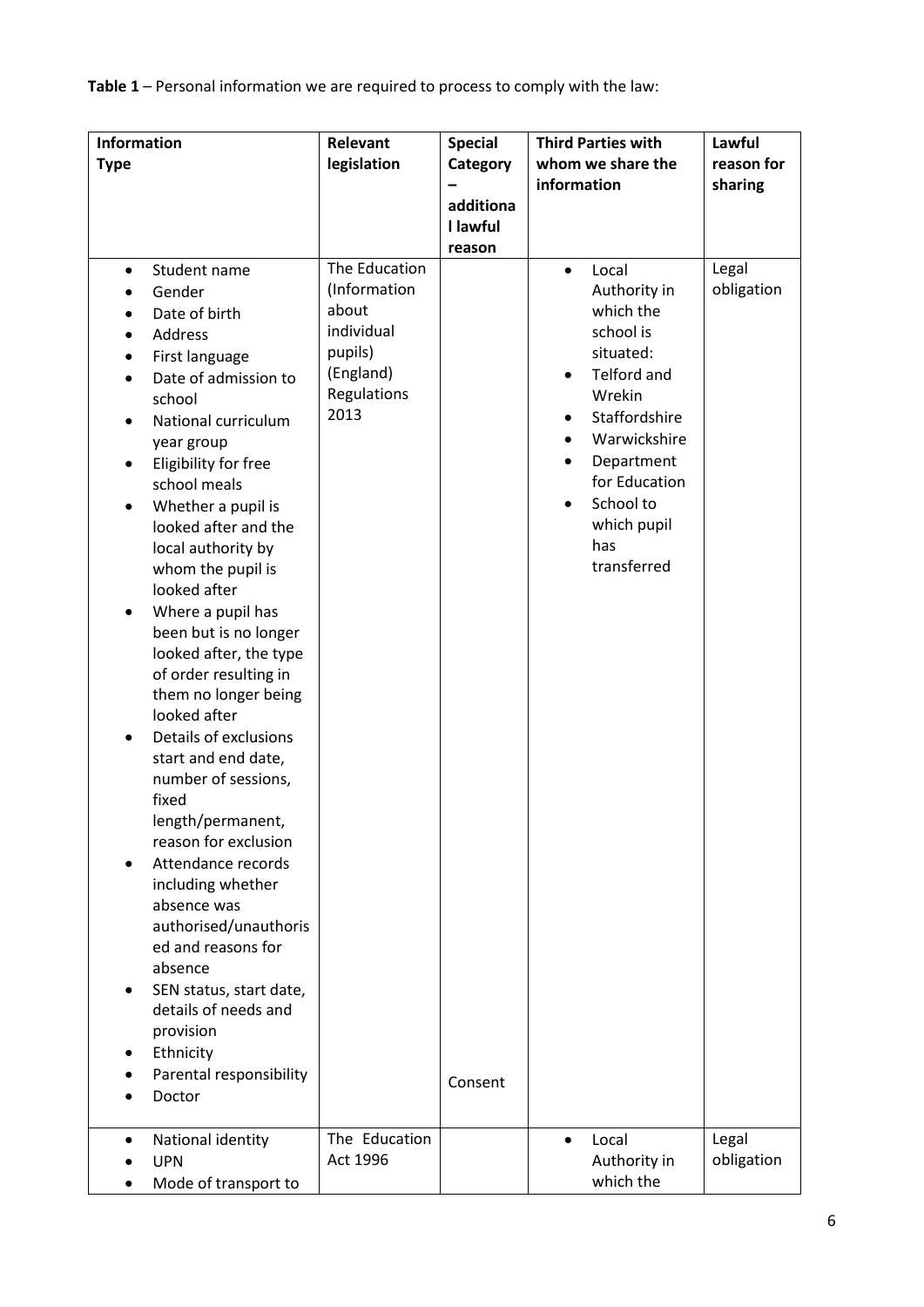**Table 1** – Personal information we are required to process to comply with the law:

| <b>Information</b><br><b>Type</b>                                                                                                                                                                                                                                                                                                                                                                                                                                                                                                                                                                                                                                                                                                                                                                                                                                              | Relevant<br>legislation                                                                                              | <b>Special</b><br>Category<br>additiona<br>I lawful | <b>Third Parties with</b><br>whom we share the<br>information                                                                                                                                                                                                               | Lawful<br>reason for<br>sharing |
|--------------------------------------------------------------------------------------------------------------------------------------------------------------------------------------------------------------------------------------------------------------------------------------------------------------------------------------------------------------------------------------------------------------------------------------------------------------------------------------------------------------------------------------------------------------------------------------------------------------------------------------------------------------------------------------------------------------------------------------------------------------------------------------------------------------------------------------------------------------------------------|----------------------------------------------------------------------------------------------------------------------|-----------------------------------------------------|-----------------------------------------------------------------------------------------------------------------------------------------------------------------------------------------------------------------------------------------------------------------------------|---------------------------------|
| Student name<br>$\bullet$<br>Gender<br>Date of birth<br>Address<br>First language<br>Date of admission to<br>school<br>National curriculum<br>$\bullet$<br>year group<br>Eligibility for free<br>٠<br>school meals<br>Whether a pupil is<br>$\bullet$<br>looked after and the<br>local authority by<br>whom the pupil is<br>looked after<br>Where a pupil has<br>been but is no longer<br>looked after, the type<br>of order resulting in<br>them no longer being<br>looked after<br>Details of exclusions<br>start and end date,<br>number of sessions,<br>fixed<br>length/permanent,<br>reason for exclusion<br>Attendance records<br>including whether<br>absence was<br>authorised/unauthoris<br>ed and reasons for<br>absence<br>SEN status, start date,<br>٠<br>details of needs and<br>provision<br>Ethnicity<br>Parental responsibility<br>Doctor<br>National identity | The Education<br>(Information<br>about<br>individual<br>pupils)<br>(England)<br>Regulations<br>2013<br>The Education | reason<br>Consent                                   | Local<br>$\bullet$<br>Authority in<br>which the<br>school is<br>situated:<br><b>Telford and</b><br>$\bullet$<br>Wrekin<br>Staffordshire<br>Warwickshire<br>Department<br>for Education<br>School to<br>$\bullet$<br>which pupil<br>has<br>transferred<br>Local<br>$\bullet$ | Legal<br>obligation<br>Legal    |
| <b>UPN</b><br>Mode of transport to                                                                                                                                                                                                                                                                                                                                                                                                                                                                                                                                                                                                                                                                                                                                                                                                                                             | Act 1996                                                                                                             |                                                     | Authority in<br>which the                                                                                                                                                                                                                                                   | obligation                      |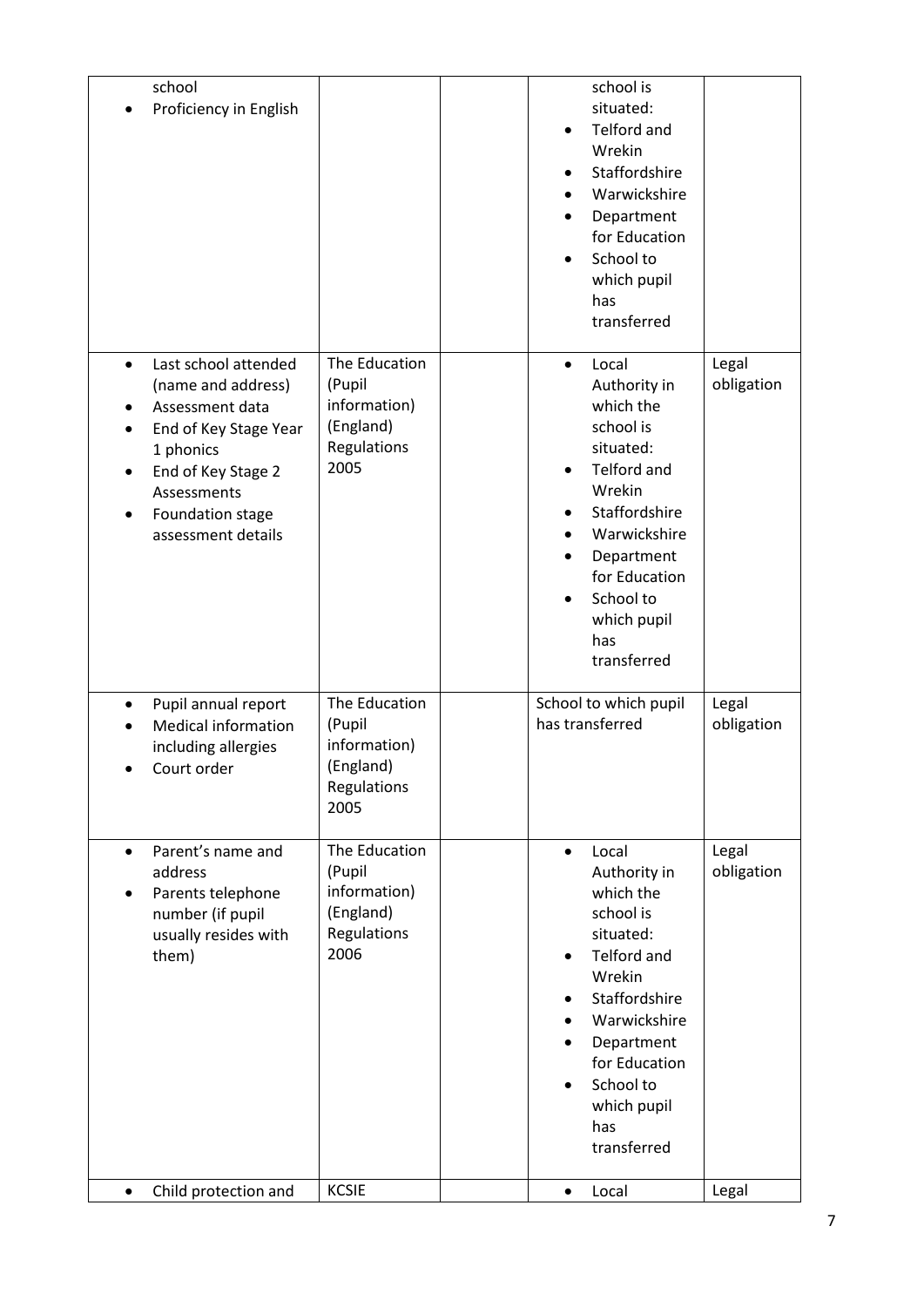| school<br>Proficiency in English                                                                                                                                                                     |                                                                             | $\bullet$<br>$\bullet$<br>$\bullet$              | school is<br>situated:<br>Telford and<br>Wrekin<br>Staffordshire<br>Warwickshire<br>Department<br>for Education<br>School to<br>which pupil<br>has<br>transferred                                       |                     |
|------------------------------------------------------------------------------------------------------------------------------------------------------------------------------------------------------|-----------------------------------------------------------------------------|--------------------------------------------------|---------------------------------------------------------------------------------------------------------------------------------------------------------------------------------------------------------|---------------------|
| Last school attended<br>$\bullet$<br>(name and address)<br>Assessment data<br>End of Key Stage Year<br>1 phonics<br>End of Key Stage 2<br>Assessments<br>Foundation stage<br>٠<br>assessment details | The Education<br>(Pupil<br>information)<br>(England)<br>Regulations<br>2005 | $\bullet$<br>$\bullet$<br>$\bullet$<br>$\bullet$ | Local<br>Authority in<br>which the<br>school is<br>situated:<br>Telford and<br>Wrekin<br>Staffordshire<br>Warwickshire<br>Department<br>for Education<br>School to<br>which pupil<br>has<br>transferred | Legal<br>obligation |
| Pupil annual report<br><b>Medical information</b><br>including allergies<br>Court order                                                                                                              | The Education<br>(Pupil<br>information)<br>(England)<br>Regulations<br>2005 |                                                  | School to which pupil<br>has transferred                                                                                                                                                                | Legal<br>obligation |
| Parent's name and<br>$\bullet$<br>address<br>Parents telephone<br>number (if pupil<br>usually resides with<br>them)                                                                                  | The Education<br>(Pupil<br>information)<br>(England)<br>Regulations<br>2006 | $\bullet$<br>$\bullet$<br>$\bullet$              | Local<br>Authority in<br>which the<br>school is<br>situated:<br>Telford and<br>Wrekin<br>Staffordshire<br>Warwickshire<br>Department<br>for Education<br>School to<br>which pupil<br>has<br>transferred | Legal<br>obligation |
| Child protection and<br>$\bullet$                                                                                                                                                                    | <b>KCSIE</b>                                                                | $\bullet$                                        | Local                                                                                                                                                                                                   | Legal               |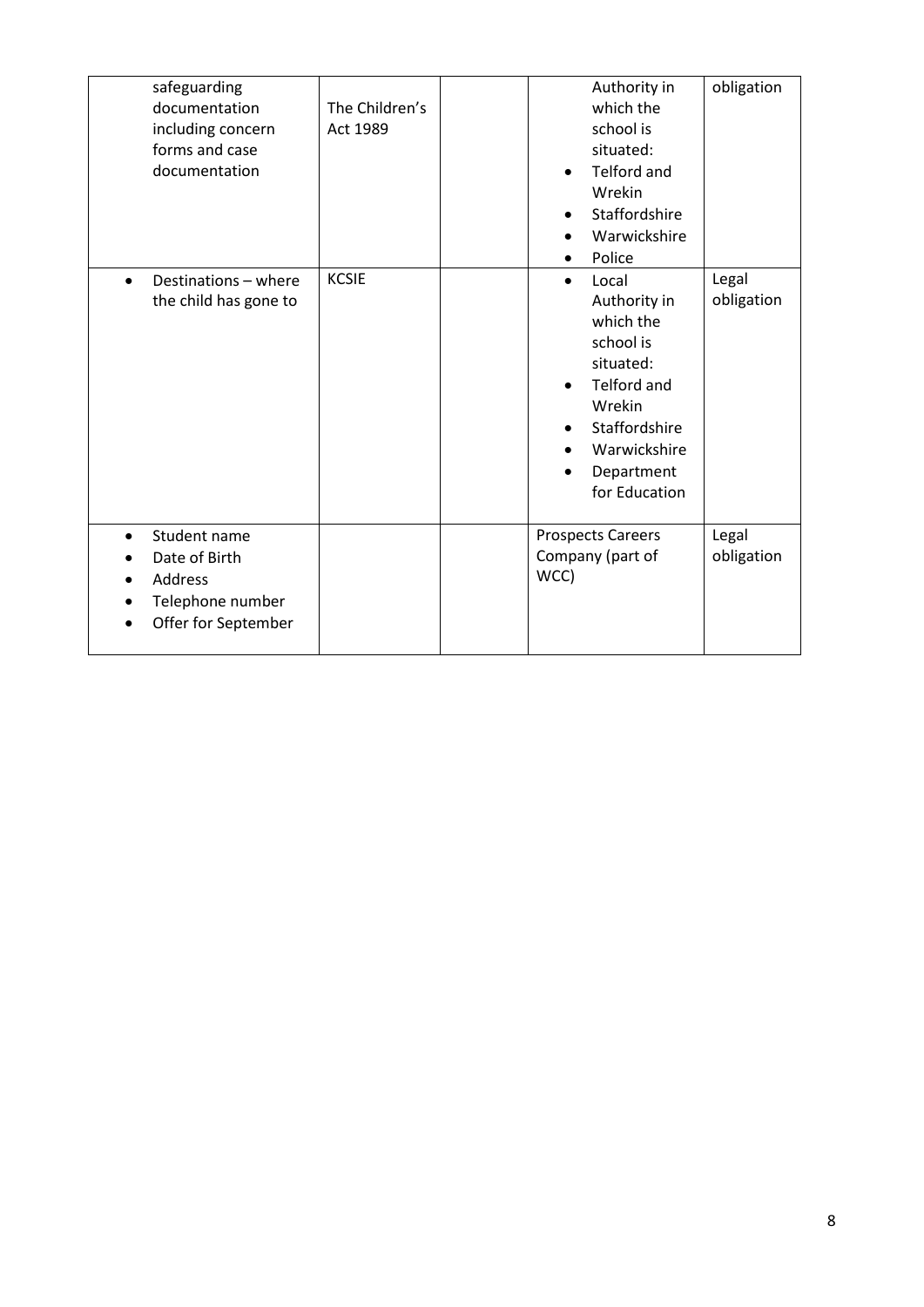| safeguarding<br>documentation<br>including concern<br>forms and case<br>documentation            | The Children's<br>Act 1989 | Authority in<br>which the<br>school is<br>situated:<br><b>Telford and</b><br>Wrekin<br>Staffordshire<br>Warwickshire<br>Police                                                         | obligation          |
|--------------------------------------------------------------------------------------------------|----------------------------|----------------------------------------------------------------------------------------------------------------------------------------------------------------------------------------|---------------------|
| Destinations - where<br>$\bullet$<br>the child has gone to                                       | <b>KCSIE</b>               | Local<br>$\bullet$<br>Authority in<br>which the<br>school is<br>situated:<br><b>Telford and</b><br>$\bullet$<br>Wrekin<br>Staffordshire<br>Warwickshire<br>Department<br>for Education | Legal<br>obligation |
| Student name<br>$\bullet$<br>Date of Birth<br>Address<br>Telephone number<br>Offer for September |                            | <b>Prospects Careers</b><br>Company (part of<br>WCC)                                                                                                                                   | Legal<br>obligation |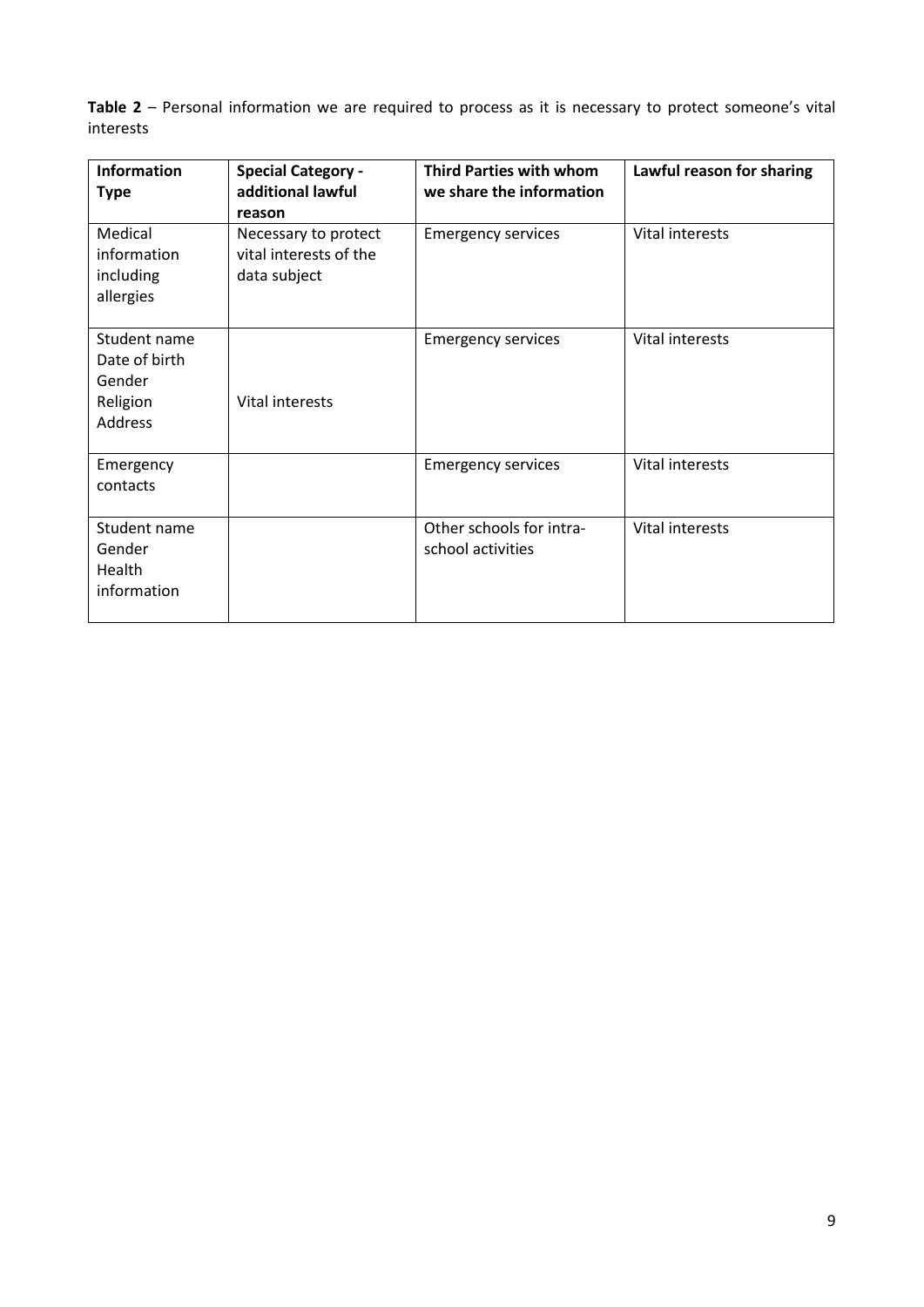**Table 2** – Personal information we are required to process as it is necessary to protect someone's vital interests

| <b>Information</b><br><b>Type</b>                              | <b>Special Category -</b><br>additional lawful<br>reason       | <b>Third Parties with whom</b><br>we share the information | Lawful reason for sharing |
|----------------------------------------------------------------|----------------------------------------------------------------|------------------------------------------------------------|---------------------------|
| Medical<br>information<br>including<br>allergies               | Necessary to protect<br>vital interests of the<br>data subject | <b>Emergency services</b>                                  | Vital interests           |
| Student name<br>Date of birth<br>Gender<br>Religion<br>Address | Vital interests                                                | <b>Emergency services</b>                                  | Vital interests           |
| Emergency<br>contacts                                          |                                                                | <b>Emergency services</b>                                  | Vital interests           |
| Student name<br>Gender<br>Health<br>information                |                                                                | Other schools for intra-<br>school activities              | Vital interests           |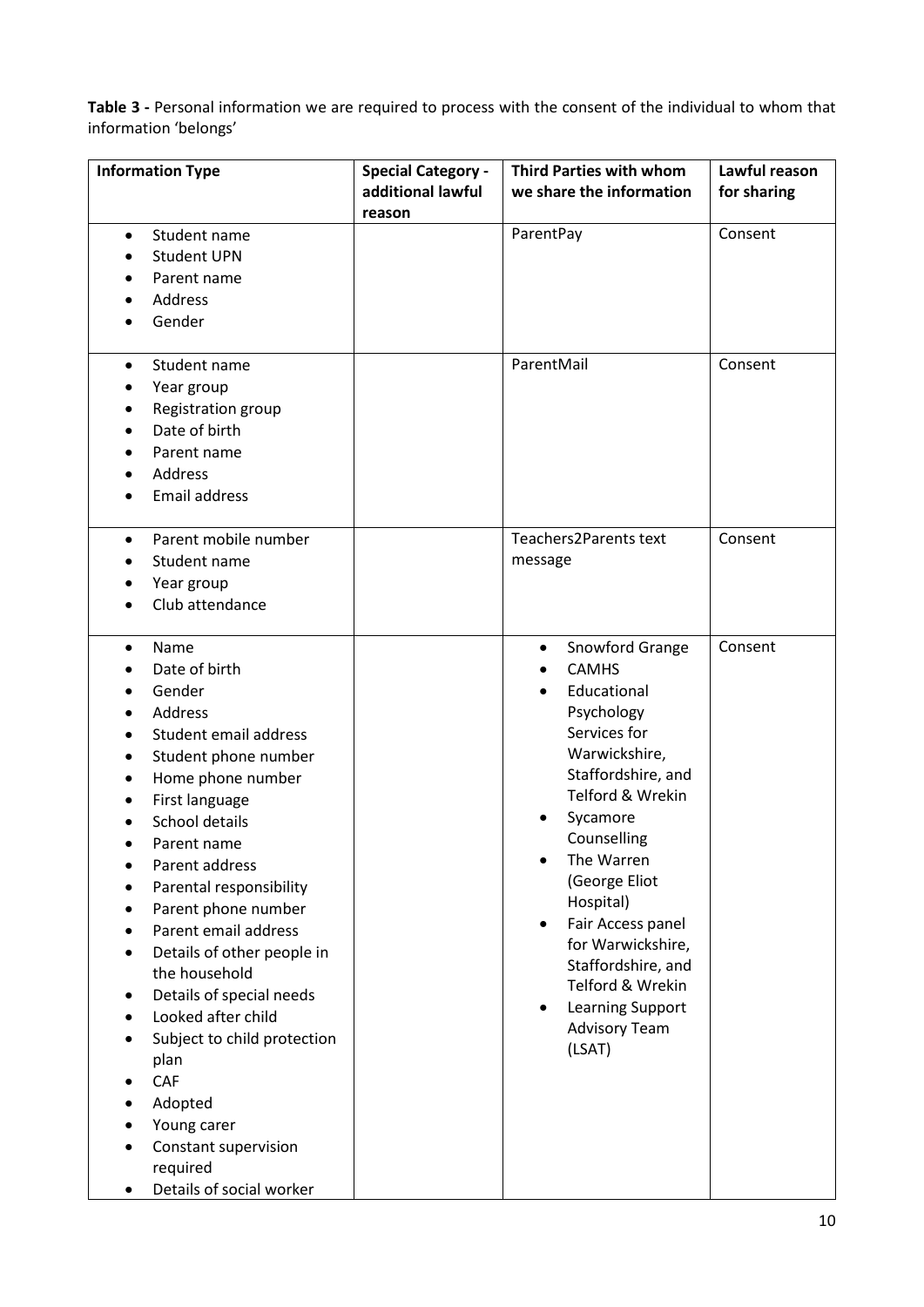**Table 3 -** Personal information we are required to process with the consent of the individual to whom that information 'belongs'

| <b>Information Type</b>                                                                                                                                                                                                                                                                                                                                                                                                                                                                                            | <b>Special Category -</b><br>additional lawful<br>reason | <b>Third Parties with whom</b><br>we share the information                                                                                                                                                                                                                                                                                                                                                | Lawful reason<br>for sharing |
|--------------------------------------------------------------------------------------------------------------------------------------------------------------------------------------------------------------------------------------------------------------------------------------------------------------------------------------------------------------------------------------------------------------------------------------------------------------------------------------------------------------------|----------------------------------------------------------|-----------------------------------------------------------------------------------------------------------------------------------------------------------------------------------------------------------------------------------------------------------------------------------------------------------------------------------------------------------------------------------------------------------|------------------------------|
| Student name<br>$\bullet$<br><b>Student UPN</b><br>Parent name<br>Address<br>Gender                                                                                                                                                                                                                                                                                                                                                                                                                                |                                                          | ParentPay                                                                                                                                                                                                                                                                                                                                                                                                 | Consent                      |
| Student name<br>$\bullet$<br>Year group<br>Registration group<br>٠<br>Date of birth<br>Parent name<br>Address<br><b>Email address</b>                                                                                                                                                                                                                                                                                                                                                                              |                                                          | ParentMail                                                                                                                                                                                                                                                                                                                                                                                                | Consent                      |
| Parent mobile number<br>$\bullet$<br>Student name<br>Year group<br>Club attendance                                                                                                                                                                                                                                                                                                                                                                                                                                 |                                                          | Teachers2Parents text<br>message                                                                                                                                                                                                                                                                                                                                                                          | Consent                      |
| Name<br>٠<br>Date of birth<br>Gender<br>Address<br>Student email address<br>Student phone number<br>Home phone number<br>First language<br>School details<br>Parent name<br>Parent address<br>Parental responsibility<br>Parent phone number<br>Parent email address<br>Details of other people in<br>the household<br>Details of special needs<br>٠<br>Looked after child<br>Subject to child protection<br>plan<br>CAF<br>Adopted<br>Young carer<br>Constant supervision<br>required<br>Details of social worker |                                                          | Snowford Grange<br>٠<br><b>CAMHS</b><br>٠<br>Educational<br>$\bullet$<br>Psychology<br>Services for<br>Warwickshire,<br>Staffordshire, and<br>Telford & Wrekin<br>Sycamore<br>Counselling<br>The Warren<br>(George Eliot<br>Hospital)<br>Fair Access panel<br>$\bullet$<br>for Warwickshire,<br>Staffordshire, and<br>Telford & Wrekin<br>Learning Support<br>$\bullet$<br><b>Advisory Team</b><br>(LSAT) | Consent                      |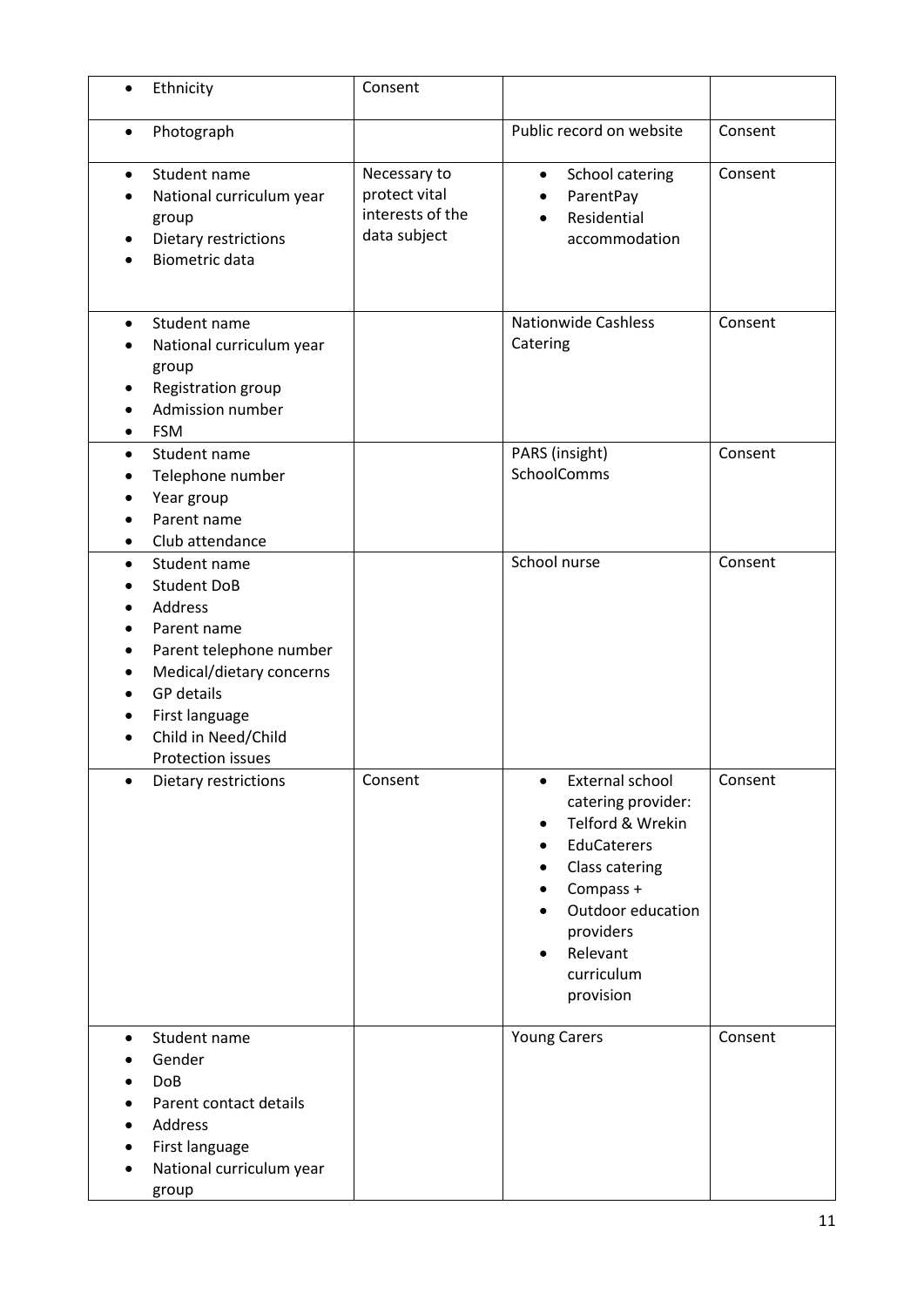| $\bullet$      | Ethnicity                                                                                                                                                                                                     | Consent                                                           |                                                                                                                                                                                                                                           |         |
|----------------|---------------------------------------------------------------------------------------------------------------------------------------------------------------------------------------------------------------|-------------------------------------------------------------------|-------------------------------------------------------------------------------------------------------------------------------------------------------------------------------------------------------------------------------------------|---------|
| ٠              | Photograph                                                                                                                                                                                                    |                                                                   | Public record on website                                                                                                                                                                                                                  | Consent |
| $\bullet$      | Student name<br>National curriculum year<br>group<br>Dietary restrictions<br><b>Biometric data</b>                                                                                                            | Necessary to<br>protect vital<br>interests of the<br>data subject | School catering<br>$\bullet$<br>ParentPay<br>Residential<br>accommodation                                                                                                                                                                 | Consent |
| $\bullet$<br>٠ | Student name<br>National curriculum year<br>group<br>Registration group<br>Admission number<br><b>FSM</b>                                                                                                     |                                                                   | <b>Nationwide Cashless</b><br>Catering                                                                                                                                                                                                    | Consent |
| $\bullet$      | Student name<br>Telephone number<br>Year group<br>Parent name<br>Club attendance                                                                                                                              |                                                                   | PARS (insight)<br>SchoolComms                                                                                                                                                                                                             | Consent |
| $\bullet$      | Student name<br><b>Student DoB</b><br>Address<br>Parent name<br>Parent telephone number<br>Medical/dietary concerns<br><b>GP</b> details<br>First language<br>Child in Need/Child<br><b>Protection issues</b> |                                                                   | School nurse                                                                                                                                                                                                                              | Consent |
|                | Dietary restrictions                                                                                                                                                                                          | Consent                                                           | External school<br>$\bullet$<br>catering provider:<br>Telford & Wrekin<br>$\bullet$<br>EduCaterers<br>$\bullet$<br>Class catering<br>Compass +<br>٠<br>Outdoor education<br>providers<br>Relevant<br>$\bullet$<br>curriculum<br>provision | Consent |
| $\bullet$<br>٠ | Student name<br>Gender<br><b>DoB</b><br>Parent contact details<br>Address<br>First language<br>National curriculum year<br>group                                                                              |                                                                   | <b>Young Carers</b>                                                                                                                                                                                                                       | Consent |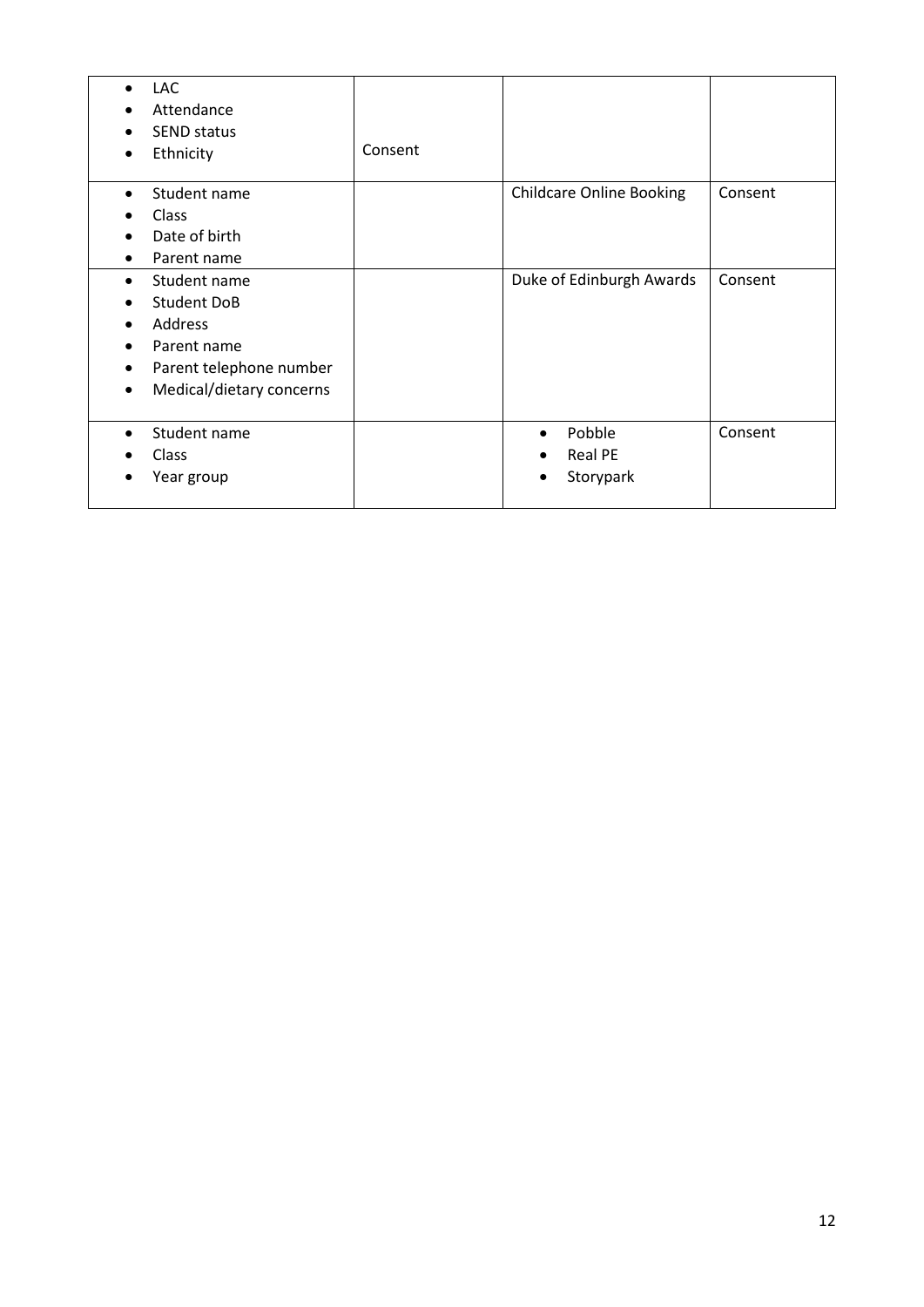| LAC<br>$\bullet$<br>Attendance<br>SEND status<br>Ethnicity<br>$\bullet$                                                                       | Consent |                                                                 |         |
|-----------------------------------------------------------------------------------------------------------------------------------------------|---------|-----------------------------------------------------------------|---------|
| Student name<br>$\bullet$<br><b>Class</b><br>Date of birth<br>Parent name<br>٠                                                                |         | <b>Childcare Online Booking</b>                                 | Consent |
| Student name<br>$\bullet$<br><b>Student DoB</b><br>Address<br>Parent name<br>Parent telephone number<br>Medical/dietary concerns<br>$\bullet$ |         | Duke of Edinburgh Awards                                        | Consent |
| Student name<br>Class<br>Year group                                                                                                           |         | Pobble<br>$\bullet$<br><b>Real PE</b><br>$\bullet$<br>Storypark | Consent |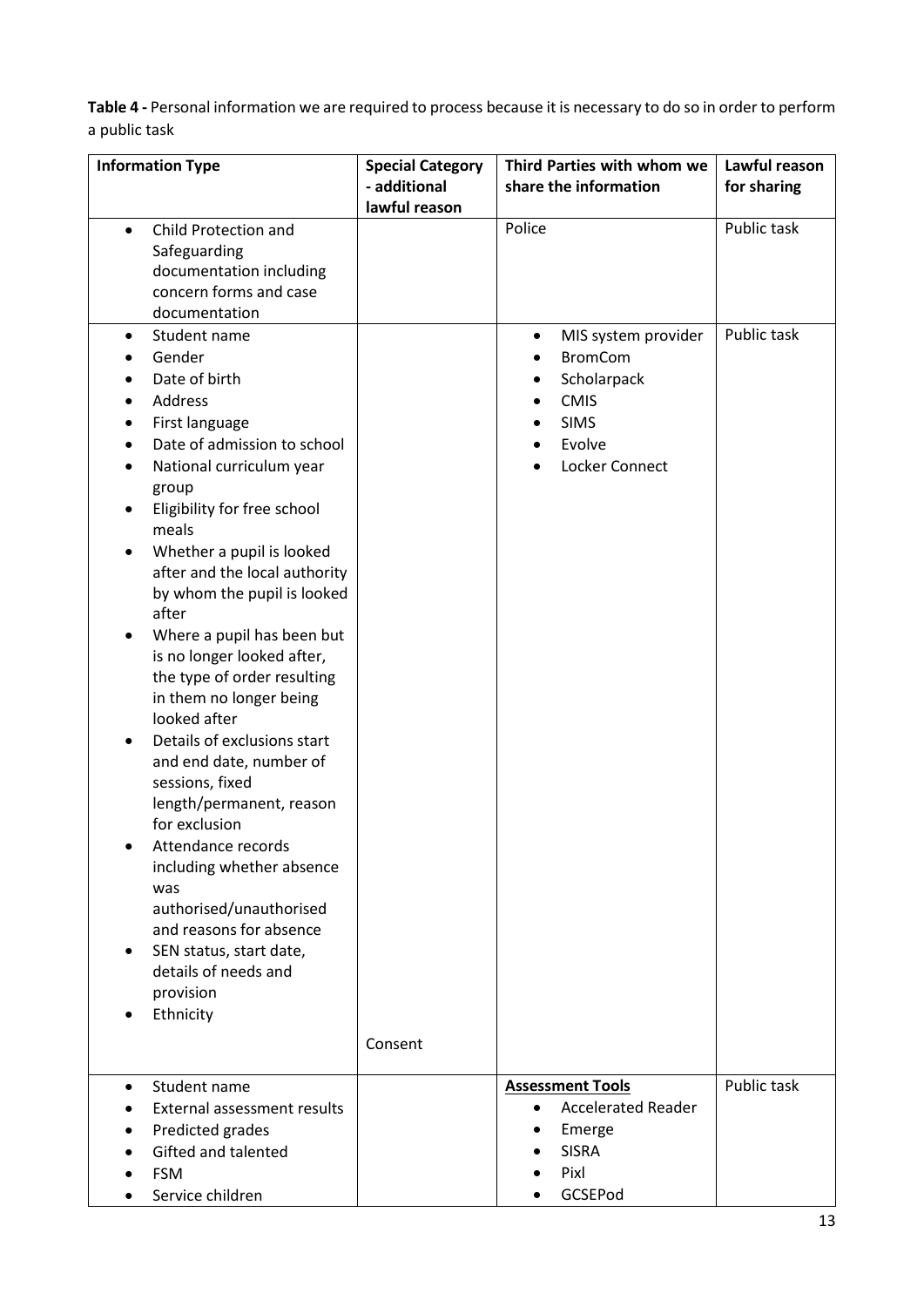**Table 4 -** Personal information we are required to process because it is necessary to do so in order to perform a public task

| <b>Information Type</b>                            | <b>Special Category</b> | Third Parties with whom we             | Lawful reason |
|----------------------------------------------------|-------------------------|----------------------------------------|---------------|
|                                                    | - additional            | share the information                  | for sharing   |
|                                                    | lawful reason           |                                        |               |
| Child Protection and<br>$\bullet$                  |                         | Police                                 | Public task   |
| Safeguarding                                       |                         |                                        |               |
| documentation including                            |                         |                                        |               |
| concern forms and case                             |                         |                                        |               |
| documentation                                      |                         |                                        |               |
| Student name<br>$\bullet$                          |                         | MIS system provider<br>٠               | Public task   |
| Gender                                             |                         | <b>BromCom</b>                         |               |
| Date of birth                                      |                         | Scholarpack                            |               |
| <b>Address</b>                                     |                         | <b>CMIS</b>                            |               |
| First language                                     |                         | <b>SIMS</b>                            |               |
| Date of admission to school                        |                         | Evolve                                 |               |
| National curriculum year                           |                         | Locker Connect                         |               |
| group                                              |                         |                                        |               |
| Eligibility for free school                        |                         |                                        |               |
| meals                                              |                         |                                        |               |
| Whether a pupil is looked                          |                         |                                        |               |
| after and the local authority                      |                         |                                        |               |
| by whom the pupil is looked                        |                         |                                        |               |
| after                                              |                         |                                        |               |
| Where a pupil has been but                         |                         |                                        |               |
| is no longer looked after,                         |                         |                                        |               |
| the type of order resulting                        |                         |                                        |               |
| in them no longer being                            |                         |                                        |               |
| looked after                                       |                         |                                        |               |
| Details of exclusions start                        |                         |                                        |               |
| and end date, number of                            |                         |                                        |               |
| sessions, fixed                                    |                         |                                        |               |
| length/permanent, reason                           |                         |                                        |               |
| for exclusion                                      |                         |                                        |               |
| Attendance records                                 |                         |                                        |               |
| including whether absence                          |                         |                                        |               |
| was                                                |                         |                                        |               |
| authorised/unauthorised<br>and reasons for absence |                         |                                        |               |
| SEN status, start date,                            |                         |                                        |               |
| details of needs and                               |                         |                                        |               |
| provision                                          |                         |                                        |               |
| Ethnicity                                          |                         |                                        |               |
|                                                    |                         |                                        |               |
|                                                    | Consent                 |                                        |               |
| Student name<br>$\bullet$                          |                         | <b>Assessment Tools</b>                | Public task   |
| External assessment results                        |                         | <b>Accelerated Reader</b><br>$\bullet$ |               |
| Predicted grades                                   |                         | Emerge                                 |               |
| Gifted and talented                                |                         | <b>SISRA</b>                           |               |
| <b>FSM</b>                                         |                         | Pixl                                   |               |
| Service children                                   |                         | GCSEPod                                |               |
|                                                    |                         |                                        |               |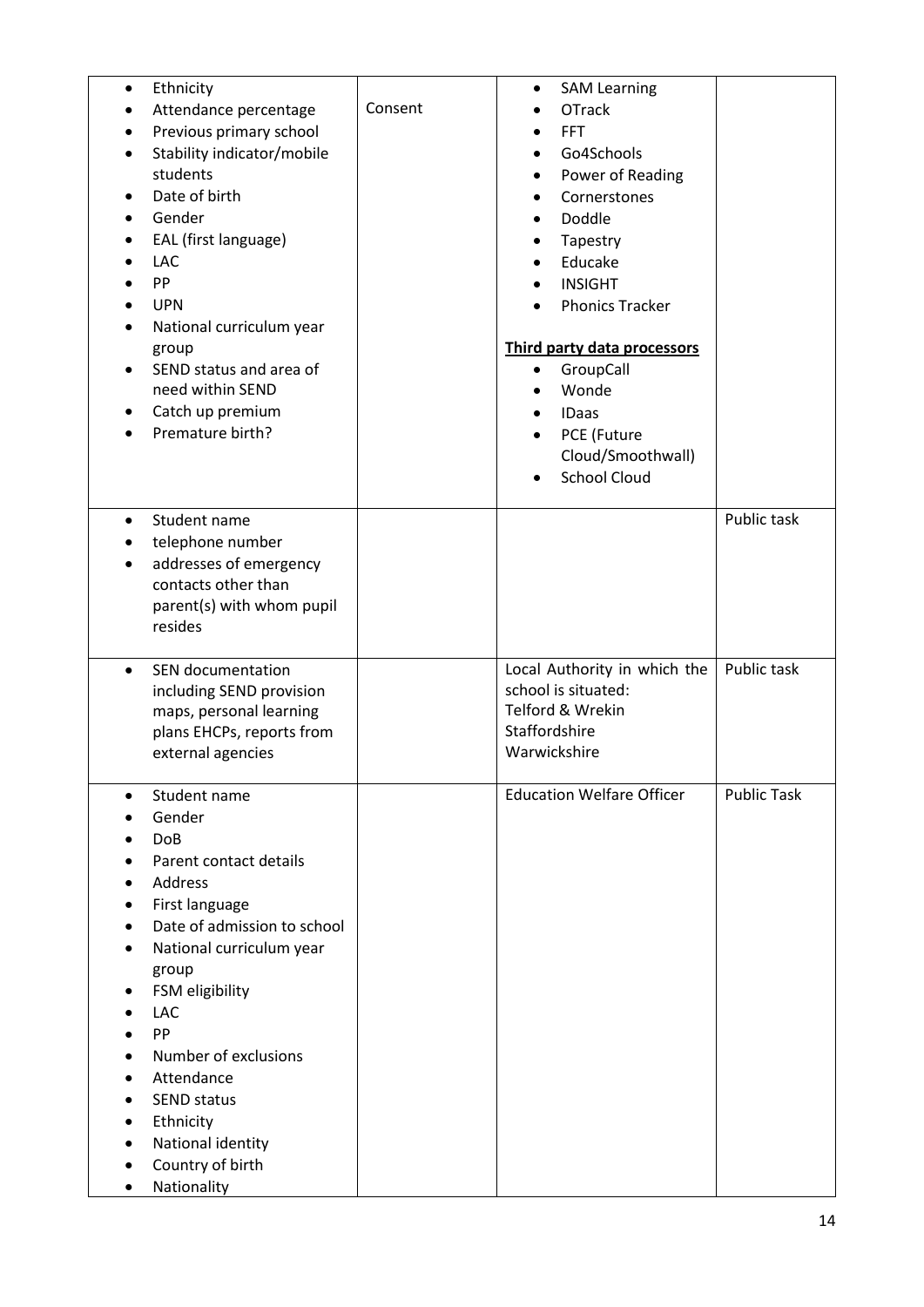| Ethnicity<br>$\bullet$<br>Attendance percentage<br>٠<br>Previous primary school<br>Stability indicator/mobile<br>$\bullet$<br>students<br>Date of birth<br>Gender<br>EAL (first language)<br>٠<br><b>LAC</b><br>PP<br><b>UPN</b><br>National curriculum year<br>group<br>SEND status and area of<br>need within SEND<br>Catch up premium<br>Premature birth? | Consent | <b>SAM Learning</b><br>$\bullet$<br><b>OTrack</b><br><b>FFT</b><br>Go4Schools<br>٠<br>Power of Reading<br>Cornerstones<br>Doddle<br>Tapestry<br>Educake<br><b>INSIGHT</b><br><b>Phonics Tracker</b><br>Third party data processors<br>GroupCall<br>$\bullet$<br>Wonde<br><b>IDaas</b><br>PCE (Future<br>Cloud/Smoothwall)<br><b>School Cloud</b><br>$\bullet$ |                    |
|--------------------------------------------------------------------------------------------------------------------------------------------------------------------------------------------------------------------------------------------------------------------------------------------------------------------------------------------------------------|---------|---------------------------------------------------------------------------------------------------------------------------------------------------------------------------------------------------------------------------------------------------------------------------------------------------------------------------------------------------------------|--------------------|
| Student name<br>$\bullet$<br>telephone number<br>addresses of emergency<br>contacts other than<br>parent(s) with whom pupil<br>resides                                                                                                                                                                                                                       |         |                                                                                                                                                                                                                                                                                                                                                               | Public task        |
| SEN documentation<br>$\bullet$<br>including SEND provision<br>maps, personal learning<br>plans EHCPs, reports from<br>external agencies                                                                                                                                                                                                                      |         | Local Authority in which the<br>school is situated:<br>Telford & Wrekin<br>Staffordshire<br>Warwickshire                                                                                                                                                                                                                                                      | Public task        |
| Student name<br>Gender<br><b>DoB</b><br>Parent contact details<br>Address<br>First language<br>Date of admission to school<br>National curriculum year<br>group<br>FSM eligibility<br><b>LAC</b><br>PP<br>Number of exclusions<br>Attendance<br><b>SEND status</b><br>Ethnicity<br>National identity<br>Country of birth<br>Nationality                      |         | <b>Education Welfare Officer</b>                                                                                                                                                                                                                                                                                                                              | <b>Public Task</b> |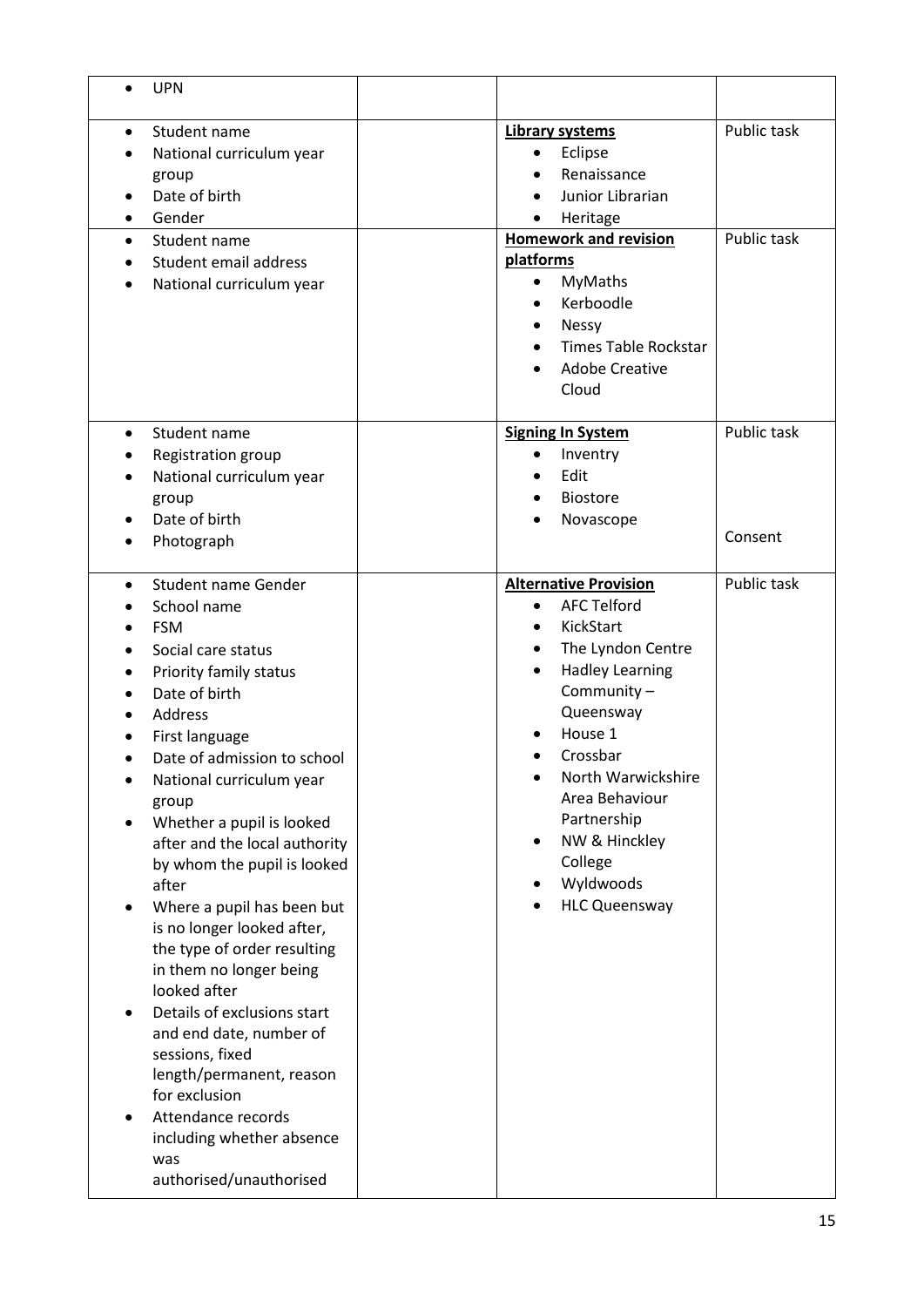| <b>UPN</b>                                                                                                                                                                                                                                                                                                                                                                                                                                                                                                                                                                                                                                                                                        |                                                                                                                                                                                                                                                                                          |                            |
|---------------------------------------------------------------------------------------------------------------------------------------------------------------------------------------------------------------------------------------------------------------------------------------------------------------------------------------------------------------------------------------------------------------------------------------------------------------------------------------------------------------------------------------------------------------------------------------------------------------------------------------------------------------------------------------------------|------------------------------------------------------------------------------------------------------------------------------------------------------------------------------------------------------------------------------------------------------------------------------------------|----------------------------|
| Student name<br>National curriculum year<br>group<br>Date of birth<br>Gender<br>Student name<br>$\bullet$<br>Student email address<br>National curriculum year                                                                                                                                                                                                                                                                                                                                                                                                                                                                                                                                    | <b>Library systems</b><br>Eclipse<br>Renaissance<br>Junior Librarian<br>Heritage<br><b>Homework and revision</b><br>platforms<br>MyMaths<br>$\bullet$<br>Kerboodle<br><b>Nessy</b><br><b>Times Table Rockstar</b>                                                                        | Public task<br>Public task |
|                                                                                                                                                                                                                                                                                                                                                                                                                                                                                                                                                                                                                                                                                                   | <b>Adobe Creative</b><br>Cloud                                                                                                                                                                                                                                                           |                            |
| Student name<br>$\bullet$<br>Registration group<br>National curriculum year<br>group<br>Date of birth<br>Photograph                                                                                                                                                                                                                                                                                                                                                                                                                                                                                                                                                                               | <b>Signing In System</b><br>Inventry<br>Edit<br><b>Biostore</b><br>Novascope                                                                                                                                                                                                             | Public task<br>Consent     |
| <b>Student name Gender</b><br>$\bullet$<br>School name<br><b>FSM</b><br>Social care status<br>Priority family status<br>Date of birth<br>Address<br>First language<br>Date of admission to school<br>National curriculum year<br>group<br>Whether a pupil is looked<br>after and the local authority<br>by whom the pupil is looked<br>after<br>Where a pupil has been but<br>is no longer looked after,<br>the type of order resulting<br>in them no longer being<br>looked after<br>Details of exclusions start<br>and end date, number of<br>sessions, fixed<br>length/permanent, reason<br>for exclusion<br>Attendance records<br>including whether absence<br>was<br>authorised/unauthorised | <b>Alternative Provision</b><br><b>AFC Telford</b><br>KickStart<br>The Lyndon Centre<br><b>Hadley Learning</b><br>Community-<br>Queensway<br>House 1<br>Crossbar<br>North Warwickshire<br>Area Behaviour<br>Partnership<br>NW & Hinckley<br>College<br>Wyldwoods<br><b>HLC Queensway</b> | Public task                |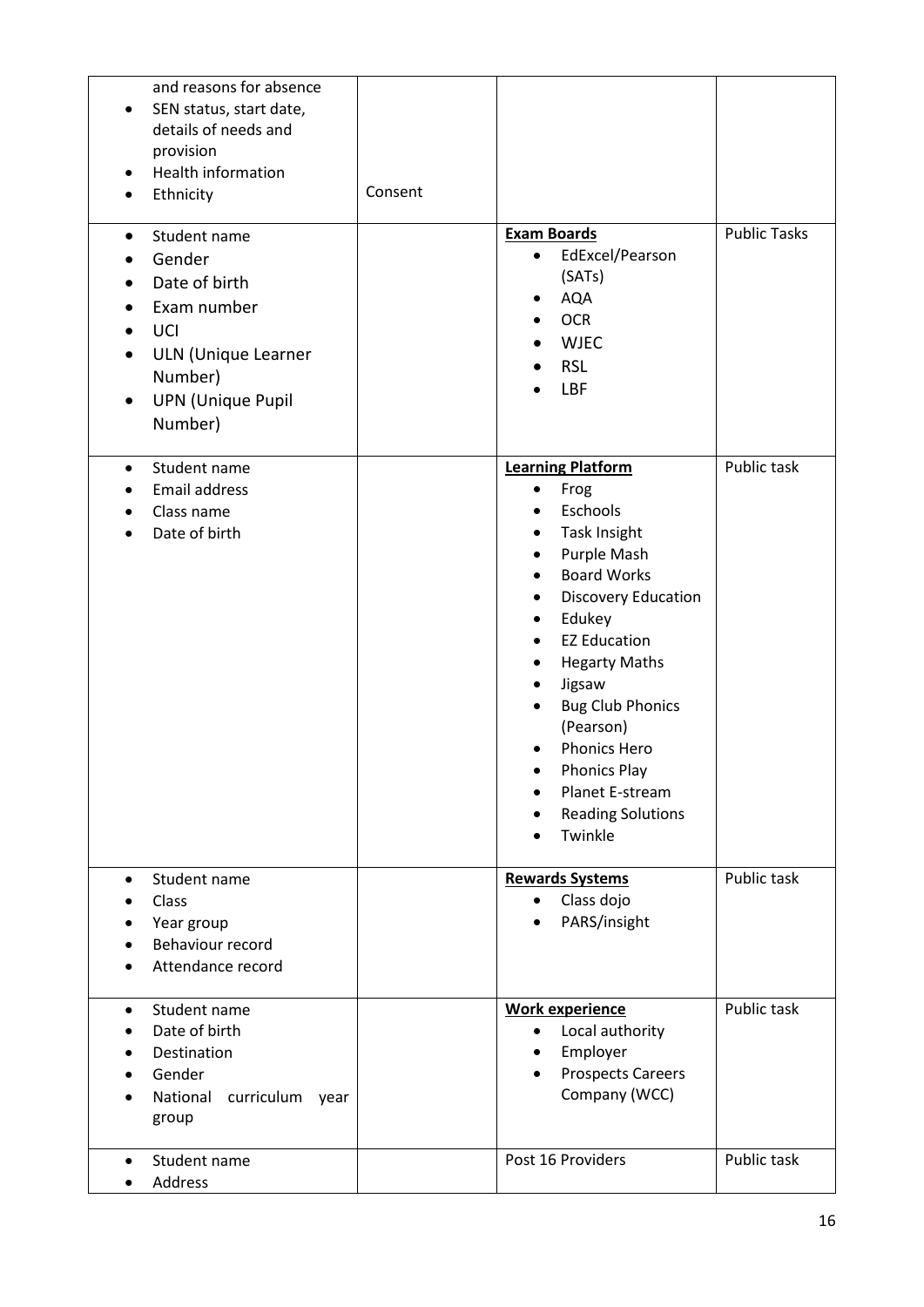| and reasons for absence<br>SEN status, start date,<br>details of needs and<br>provision<br>Health information<br>Ethnicity<br>Student name | Consent | <b>Exam Boards</b>                                                                                                                                                                                                                                                                                                                                                                                                                         | <b>Public Tasks</b> |
|--------------------------------------------------------------------------------------------------------------------------------------------|---------|--------------------------------------------------------------------------------------------------------------------------------------------------------------------------------------------------------------------------------------------------------------------------------------------------------------------------------------------------------------------------------------------------------------------------------------------|---------------------|
| Gender<br>Date of birth<br>Exam number<br>UCI<br><b>ULN (Unique Learner</b><br>Number)<br><b>UPN (Unique Pupil</b><br>Number)              |         | EdExcel/Pearson<br>$\bullet$<br>(SATs)<br><b>AQA</b><br><b>OCR</b><br><b>WJEC</b><br><b>RSL</b><br>LBF                                                                                                                                                                                                                                                                                                                                     |                     |
| Student name<br>$\bullet$<br>Email address<br>Class name<br>Date of birth                                                                  |         | <b>Learning Platform</b><br>Frog<br>$\bullet$<br>Eschools<br><b>Task Insight</b><br>$\bullet$<br>Purple Mash<br>$\bullet$<br><b>Board Works</b><br>$\bullet$<br><b>Discovery Education</b><br>٠<br>Edukey<br>$\bullet$<br><b>EZ Education</b><br><b>Hegarty Maths</b><br>Jigsaw<br>٠<br><b>Bug Club Phonics</b><br>(Pearson)<br>Phonics Hero<br><b>Phonics Play</b><br>Planet E-stream<br><b>Reading Solutions</b><br>$\bullet$<br>Twinkle | Public task         |
| Student name<br>$\bullet$<br>Class<br>Year group<br>Behaviour record<br>Attendance record                                                  |         | <b>Rewards Systems</b><br>Class dojo<br>$\bullet$<br>PARS/insight                                                                                                                                                                                                                                                                                                                                                                          | Public task         |
| Student name<br>$\bullet$<br>Date of birth<br>Destination<br>Gender<br>curriculum<br>National<br>year<br>group                             |         | <b>Work experience</b><br>Local authority<br>$\bullet$<br>Employer<br>$\bullet$<br><b>Prospects Careers</b><br>Company (WCC)                                                                                                                                                                                                                                                                                                               | Public task         |
| Student name<br>$\bullet$<br>Address                                                                                                       |         | Post 16 Providers                                                                                                                                                                                                                                                                                                                                                                                                                          | Public task         |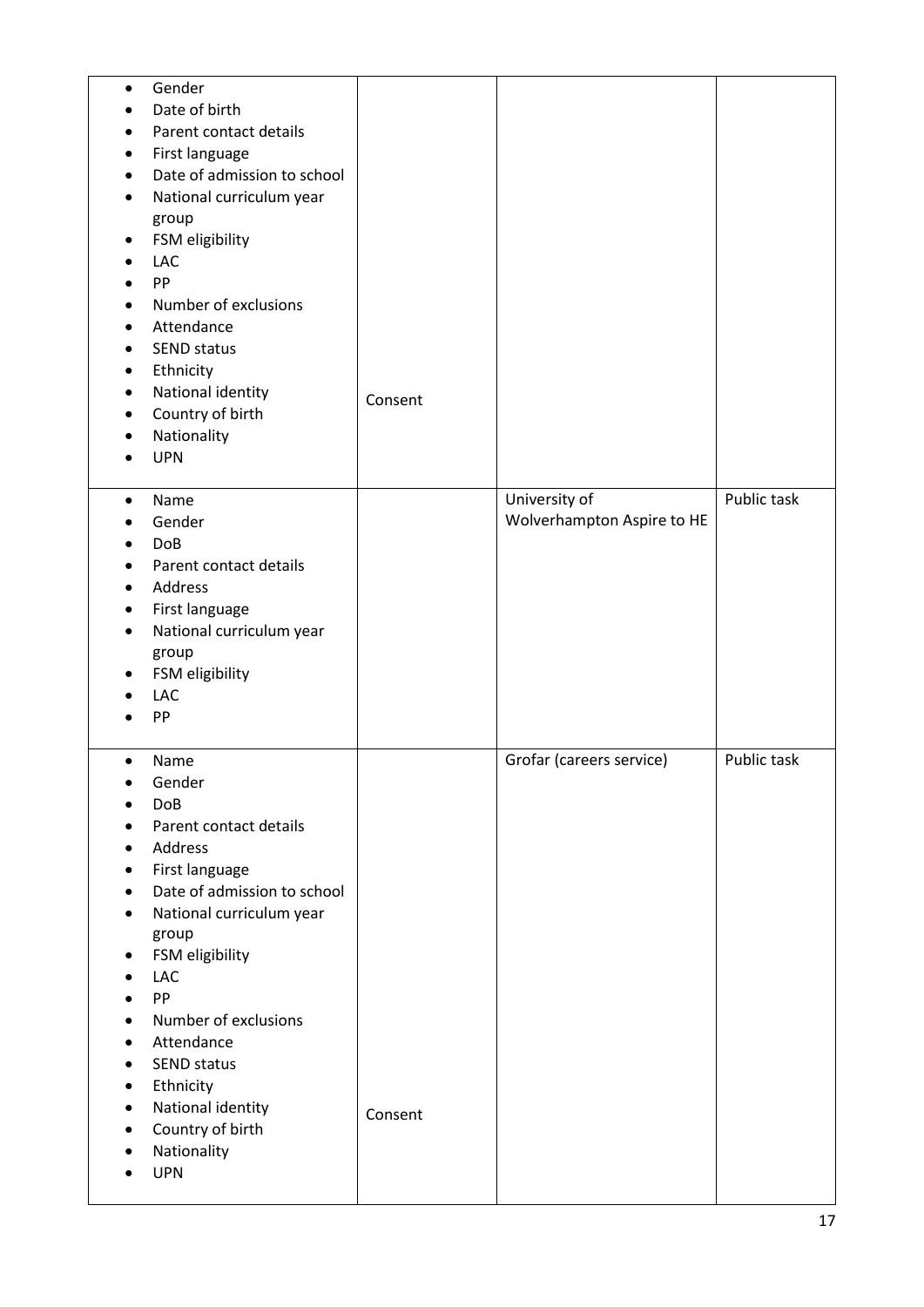| Gender<br>$\bullet$<br>Date of birth<br>Parent contact details<br>First language<br>٠<br>Date of admission to school<br>National curriculum year<br>group<br>FSM eligibility<br>٠<br><b>LAC</b><br>PP<br>Number of exclusions<br>$\bullet$<br>Attendance<br><b>SEND status</b><br>$\bullet$<br>Ethnicity<br>٠                                                                                                                                                                                                           |         |                                             |             |
|-------------------------------------------------------------------------------------------------------------------------------------------------------------------------------------------------------------------------------------------------------------------------------------------------------------------------------------------------------------------------------------------------------------------------------------------------------------------------------------------------------------------------|---------|---------------------------------------------|-------------|
| National identity<br>$\bullet$<br>Country of birth<br>$\bullet$<br>Nationality<br><b>UPN</b>                                                                                                                                                                                                                                                                                                                                                                                                                            | Consent |                                             |             |
| Name<br>$\bullet$<br>Gender<br><b>DoB</b><br>Parent contact details<br>Address<br>First language<br>٠<br>National curriculum year<br>$\bullet$<br>group<br>FSM eligibility<br>٠<br>LAC<br>PP                                                                                                                                                                                                                                                                                                                            |         | University of<br>Wolverhampton Aspire to HE | Public task |
| Name<br>$\bullet$<br>Gender<br>٠<br>DoB<br>Parent contact details<br>$\bullet$<br>Address<br>$\bullet$<br>First language<br>$\bullet$<br>Date of admission to school<br>$\bullet$<br>National curriculum year<br>$\bullet$<br>group<br>FSM eligibility<br>٠<br>LAC<br>$\bullet$<br>PP<br>$\bullet$<br>Number of exclusions<br>$\bullet$<br>Attendance<br>$\bullet$<br><b>SEND status</b><br>$\bullet$<br>Ethnicity<br>٠<br>National identity<br>$\bullet$<br>Country of birth<br>$\bullet$<br>Nationality<br><b>UPN</b> | Consent | Grofar (careers service)                    | Public task |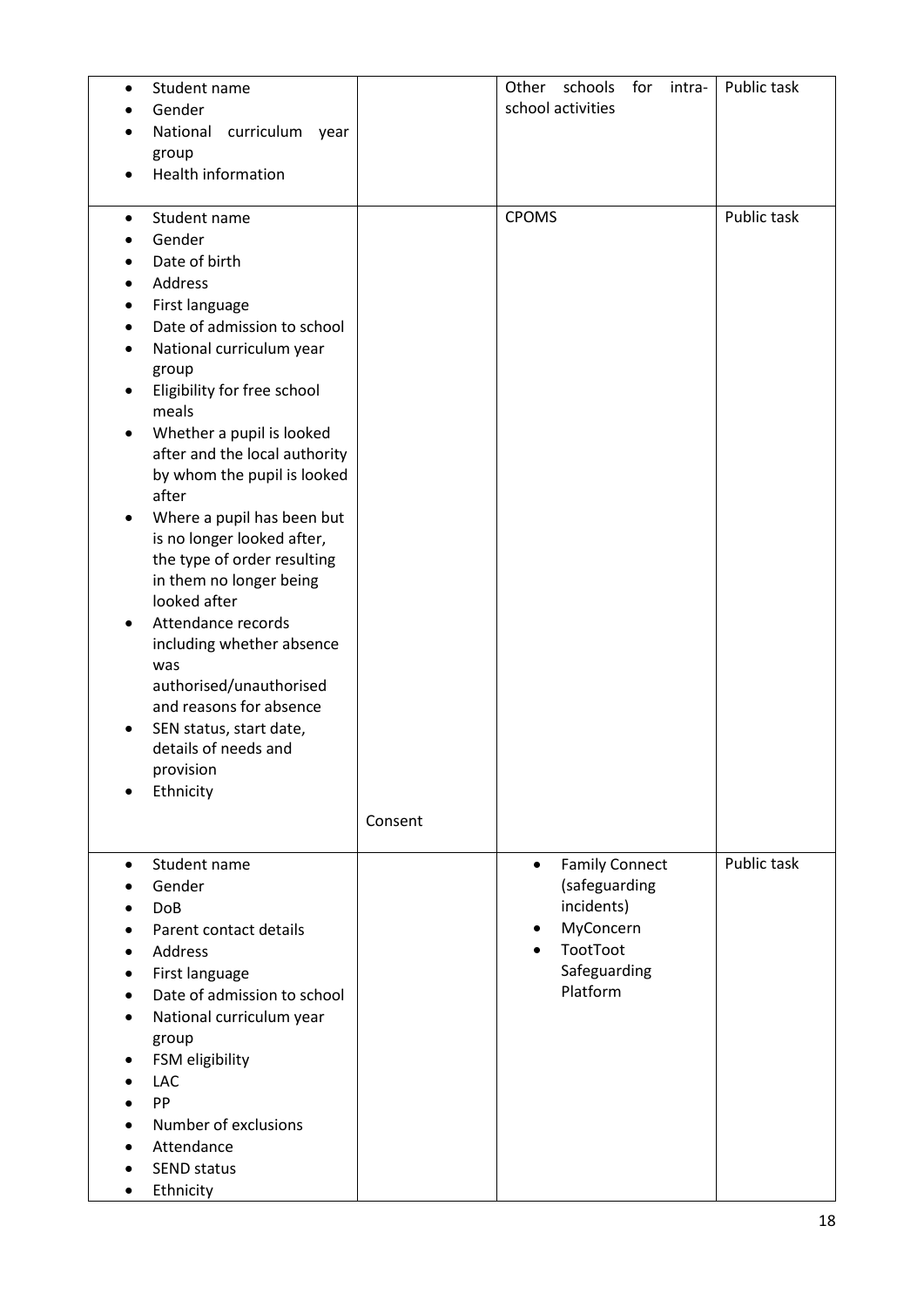| Student name<br>$\bullet$<br>Gender<br>National curriculum year<br>group<br>Health information                                                                                                                                                                                                                                                                                                                                                                                                                                                                                                                                                                                |         | Other schools<br>for intra-<br>school activities                                                                       | Public task |
|-------------------------------------------------------------------------------------------------------------------------------------------------------------------------------------------------------------------------------------------------------------------------------------------------------------------------------------------------------------------------------------------------------------------------------------------------------------------------------------------------------------------------------------------------------------------------------------------------------------------------------------------------------------------------------|---------|------------------------------------------------------------------------------------------------------------------------|-------------|
| Student name<br>$\bullet$<br>Gender<br>Date of birth<br>Address<br>$\bullet$<br>First language<br>Date of admission to school<br>$\bullet$<br>National curriculum year<br>$\bullet$<br>group<br>Eligibility for free school<br>meals<br>Whether a pupil is looked<br>after and the local authority<br>by whom the pupil is looked<br>after<br>Where a pupil has been but<br>is no longer looked after,<br>the type of order resulting<br>in them no longer being<br>looked after<br>Attendance records<br>including whether absence<br>was<br>authorised/unauthorised<br>and reasons for absence<br>SEN status, start date,<br>details of needs and<br>provision<br>Ethnicity | Consent | <b>CPOMS</b>                                                                                                           | Public task |
| Student name<br>$\bullet$<br>Gender<br><b>DoB</b><br>Parent contact details<br>Address<br>First language<br>٠<br>Date of admission to school<br>National curriculum year<br>$\bullet$<br>group<br>FSM eligibility<br><b>LAC</b><br>PP<br>Number of exclusions<br>Attendance<br><b>SEND status</b><br>Ethnicity                                                                                                                                                                                                                                                                                                                                                                |         | <b>Family Connect</b><br>$\bullet$<br>(safeguarding<br>incidents)<br>MyConcern<br>TootToot<br>Safeguarding<br>Platform | Public task |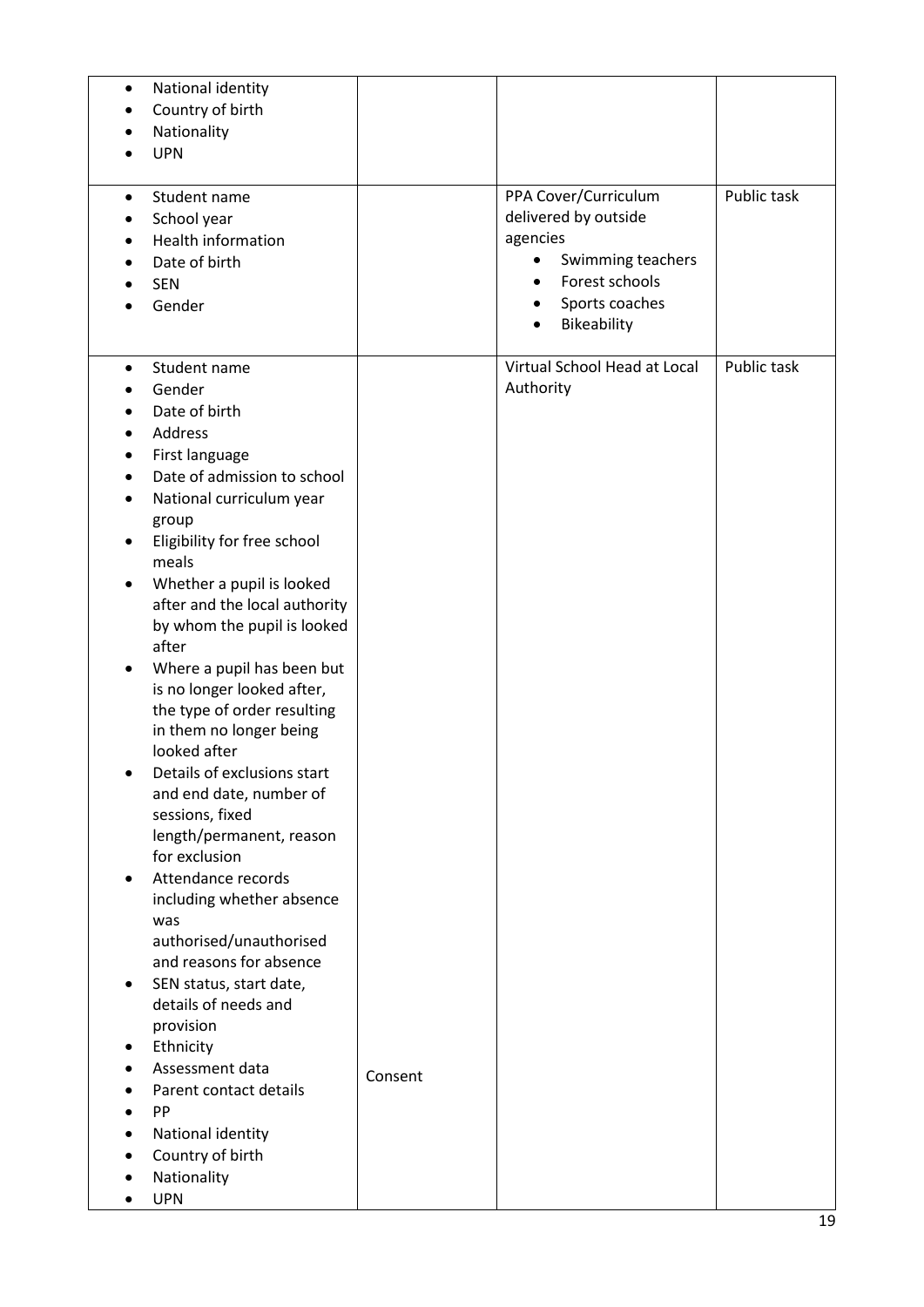| National identity<br>$\bullet$<br>Country of birth<br>$\bullet$                                                                                                                                                                                                                                                                                                                                                                                                                                                                                                                                                                                                                                                                                                                                                                                           |         |                                                                                                                                            |             |
|-----------------------------------------------------------------------------------------------------------------------------------------------------------------------------------------------------------------------------------------------------------------------------------------------------------------------------------------------------------------------------------------------------------------------------------------------------------------------------------------------------------------------------------------------------------------------------------------------------------------------------------------------------------------------------------------------------------------------------------------------------------------------------------------------------------------------------------------------------------|---------|--------------------------------------------------------------------------------------------------------------------------------------------|-------------|
| Nationality                                                                                                                                                                                                                                                                                                                                                                                                                                                                                                                                                                                                                                                                                                                                                                                                                                               |         |                                                                                                                                            |             |
| <b>UPN</b>                                                                                                                                                                                                                                                                                                                                                                                                                                                                                                                                                                                                                                                                                                                                                                                                                                                |         |                                                                                                                                            |             |
| Student name<br>٠<br>School year<br><b>Health information</b><br>Date of birth<br><b>SEN</b><br>Gender                                                                                                                                                                                                                                                                                                                                                                                                                                                                                                                                                                                                                                                                                                                                                    |         | PPA Cover/Curriculum<br>delivered by outside<br>agencies<br>Swimming teachers<br>٠<br>Forest schools<br>٠<br>Sports coaches<br>Bikeability | Public task |
| Student name<br>$\bullet$<br>Gender<br>Date of birth<br>Address<br>$\bullet$<br>First language<br>Date of admission to school<br>National curriculum year<br>$\bullet$<br>group<br>Eligibility for free school<br>meals<br>Whether a pupil is looked<br>٠<br>after and the local authority<br>by whom the pupil is looked<br>after<br>Where a pupil has been but<br>$\bullet$<br>is no longer looked after,<br>the type of order resulting<br>in them no longer being<br>looked after<br>Details of exclusions start<br>and end date, number of<br>sessions, fixed<br>length/permanent, reason<br>for exclusion<br>Attendance records<br>including whether absence<br>was<br>authorised/unauthorised<br>and reasons for absence<br>SEN status, start date,<br>details of needs and<br>provision<br>Ethnicity<br>Assessment data<br>Parent contact details | Consent | Virtual School Head at Local<br>Authority                                                                                                  | Public task |
| PP<br>National identity<br>$\bullet$<br>Country of birth<br>Nationality<br><b>UPN</b><br>$\bullet$                                                                                                                                                                                                                                                                                                                                                                                                                                                                                                                                                                                                                                                                                                                                                        |         |                                                                                                                                            |             |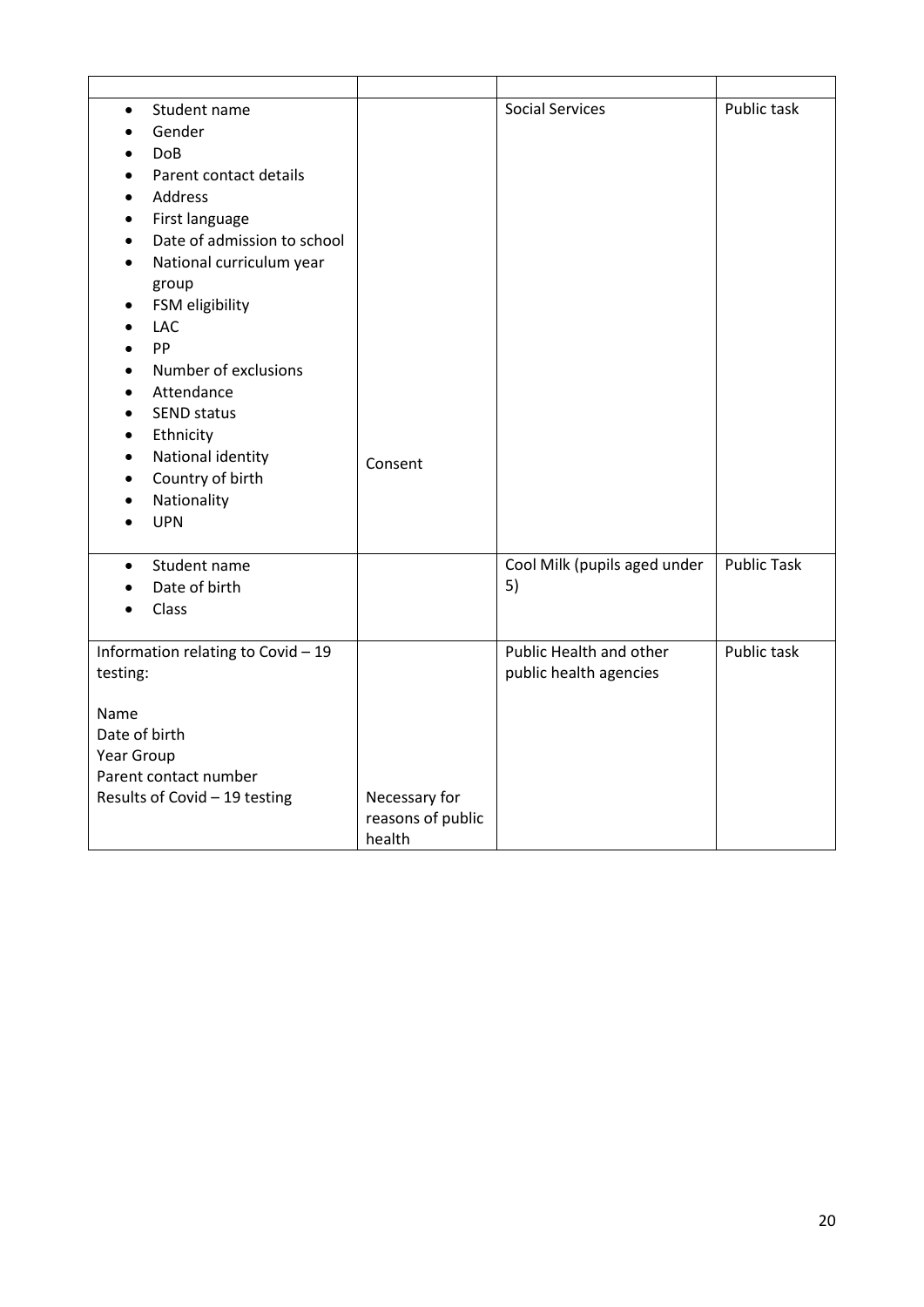| Student name<br>$\bullet$<br>Gender<br>$\bullet$<br><b>DoB</b><br>Parent contact details<br>Address<br>$\bullet$<br>First language<br>$\bullet$<br>Date of admission to school<br>National curriculum year<br>$\bullet$<br>group<br>FSM eligibility<br>٠<br><b>LAC</b><br>$\bullet$<br>PP<br>$\bullet$<br>Number of exclusions<br>$\bullet$<br>Attendance<br>$\bullet$<br><b>SEND status</b><br>Ethnicity<br>$\bullet$<br>National identity<br>$\bullet$ | Consent                                      | <b>Social Services</b>                            | Public task        |
|----------------------------------------------------------------------------------------------------------------------------------------------------------------------------------------------------------------------------------------------------------------------------------------------------------------------------------------------------------------------------------------------------------------------------------------------------------|----------------------------------------------|---------------------------------------------------|--------------------|
| Country of birth<br>$\bullet$<br>Nationality<br><b>UPN</b>                                                                                                                                                                                                                                                                                                                                                                                               |                                              |                                                   |                    |
| Student name<br>$\bullet$<br>Date of birth<br>Class<br>$\bullet$                                                                                                                                                                                                                                                                                                                                                                                         |                                              | Cool Milk (pupils aged under<br>5)                | <b>Public Task</b> |
| Information relating to Covid - 19<br>testing:<br>Name<br>Date of birth<br>Year Group<br>Parent contact number<br>Results of Covid - 19 testing                                                                                                                                                                                                                                                                                                          | Necessary for<br>reasons of public<br>health | Public Health and other<br>public health agencies | Public task        |